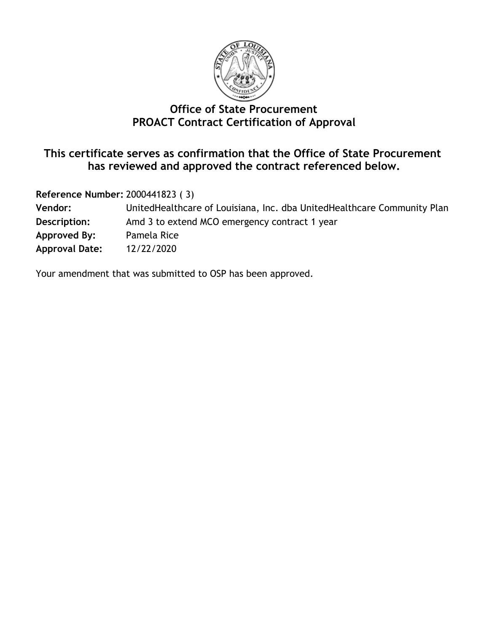

## **Office of State Procurement PROACT Contract Certification of Approval**

#### **This certificate serves as confirmation that the Office of State Procurement has reviewed and approved the contract referenced below.**

**Reference Number:** 2000441823 ( 3)

| United Healthcare of Louisiana, Inc. dba United Healthcare Community Plan |
|---------------------------------------------------------------------------|
| Amd 3 to extend MCO emergency contract 1 year                             |
| Pamela Rice                                                               |
| 12/22/2020                                                                |
|                                                                           |

Your amendment that was submitted to OSP has been approved.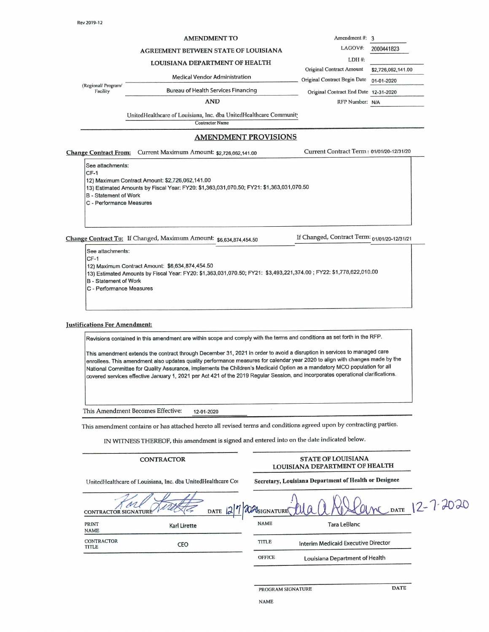(Regional/ Program/

Facility

#### **AMENDMENT TO**

#### AGREEMENT BETWEEN STATE OF LOUISIANA

LOUISIANA DEPARTMENT OF HEALTH

**Medical Vendor Administration** 

Original Contract Amount \$2,726,062,141.00 Original Contract Begin Date 01-01-2020 Original Contract End Date 12-31-2020 RFP Number: N/A

LDH#:

Amendment #: 3 LAGOV#:

2000441823

**Bureau of Health Services Financing AND** 

UnitedHealthcare of Louisiana, Inc. dba UnitedHealthcare Community Contractor Name

#### **AMENDMENT PROVISIONS**

**Change Contract From:** Current Maximum Amount: \$2,726,062,141.00 Current Contract Term: 01/01/20-12/31/20 See attachments: CF-1 12) Maximum Contract Amount: \$2,726,062,141.00 13) Estimated Amounts by Fiscal Year: FY20: \$1,363,031,070.50; FY21: \$1,363,031,070.50 **B** - Statement of Work C - Performance Measures

Change Contract To: If Changed, Maximum Amount: \$6.634.874.454.50

If Changed, Contract Term: 01/01/20-12/31/21

See attachments:  $CF-1$ 12) Maximum Contract Amount: \$6,634,874,454.50 13) Estimated Amounts by Fiscal Year: FY20: \$1,363,031,070.50; FY21: \$3,493,221,374.00; FY22: \$1,778,622,010.00 **B** - Statement of Work C - Performance Measures

#### **Justifications For Amendment:**

Revisions contained in this amendment are within scope and comply with the terms and conditions as set forth in the RFP.

This amendment extends the contract through December 31, 2021 in order to avoid a disruption in services to managed care enrollees. This amendment also updates quality performance measures for calendar year 2020 to align with changes made by the National Committee for Quality Assurance, implements the Children's Medicaid Option as a mandatory MCO population for all covered services effective January 1, 2021 per Act 421 of the 2019 Regular Session, and incorporates operational clarifications.

This Amendment Becomes Effective: 12-01-2020

This amendment contains or has attached hereto all revised terms and conditions agreed upon by contracting parties.

IN WITNESS THEREOF, this amendment is signed and entered into on the date indicated below.

|                            | <b>CONTRACTOR</b>                                            |           |                     | <b>STATE OF LOUISIANA</b><br>LOUISIANA DEPARTMENT OF HEALTH |                      |
|----------------------------|--------------------------------------------------------------|-----------|---------------------|-------------------------------------------------------------|----------------------|
|                            | UnitedHealthcare of Louisiana, Inc. dba UnitedHealthcare Cor |           |                     | Secretary, Louisiana Department of Health or Designee       |                      |
| <b>CONTRACTOR SIGN</b>     |                                                              | DATE $27$ | <b>ALMSIGNATURE</b> |                                                             | Verne DATE 12-7-2020 |
| PRINT<br><b>NAME</b>       | <b>Karl Lirette</b>                                          |           | <b>NAME</b>         | Tara LeBlanc                                                |                      |
| <b>CONTRACTOR</b><br>TITLE | CEO                                                          |           | TITLE               | Interim Medicaid Executive Director                         |                      |
|                            |                                                              |           | <b>OFFICE</b>       | Louisiana Department of Health                              |                      |

PROGRAM SIGNATURE

**DATE**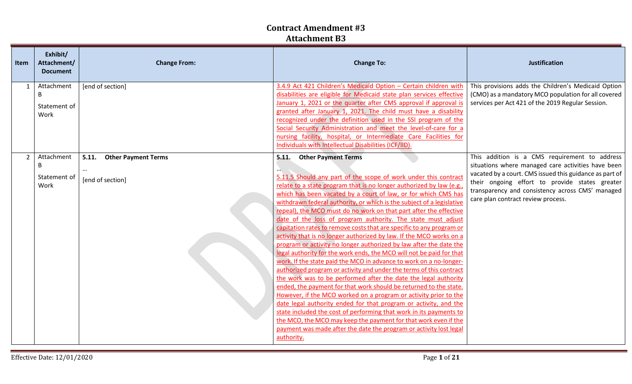| Exhibit/<br>Attachment/<br><b>Item</b><br><b>Document</b> | <b>Change From:</b>                                     | <b>Change To:</b>                                                                                                                                                                                                                                                                                                                                                                                                                                                                                                                                                                                                                                                                                                                                                                                                                                                                                                                                                                                                                                                                                                                                                                                                                                                                                                                                                                                                     | <b>Justification</b>                                                                                                                                                                                                                                                                                       |
|-----------------------------------------------------------|---------------------------------------------------------|-----------------------------------------------------------------------------------------------------------------------------------------------------------------------------------------------------------------------------------------------------------------------------------------------------------------------------------------------------------------------------------------------------------------------------------------------------------------------------------------------------------------------------------------------------------------------------------------------------------------------------------------------------------------------------------------------------------------------------------------------------------------------------------------------------------------------------------------------------------------------------------------------------------------------------------------------------------------------------------------------------------------------------------------------------------------------------------------------------------------------------------------------------------------------------------------------------------------------------------------------------------------------------------------------------------------------------------------------------------------------------------------------------------------------|------------------------------------------------------------------------------------------------------------------------------------------------------------------------------------------------------------------------------------------------------------------------------------------------------------|
| Attachment<br>1<br>B<br>Statement of<br>Work              | [end of section]                                        | 3.4.9 Act 421 Children's Medicaid Option - Certain children with<br>disabilities are eligible for Medicaid state plan services effective<br>January 1, 2021 or the quarter after CMS approval if approval is<br>granted after January 1, 2021. The child must have a disability<br>recognized under the definition used in the SSI program of the<br>Social Security Administration and meet the level-of-care for a<br>nursing facility, hospital, or Intermediate Care Facilities for<br>Individuals with Intellectual Disabilities (ICF/IID).                                                                                                                                                                                                                                                                                                                                                                                                                                                                                                                                                                                                                                                                                                                                                                                                                                                                      | This provisions adds the Children's Medicaid Option<br>(CMO) as a mandatory MCO population for all covered<br>services per Act 421 of the 2019 Regular Session.                                                                                                                                            |
| $2^{\circ}$<br>Attachment<br>B<br>Statement of<br>Work    | 5.11.<br><b>Other Payment Terms</b><br>[end of section] | <b>Other Payment Terms</b><br>5.11.<br>5.11.5 Should any part of the scope of work under this contract<br>relate to a state program that is no longer authorized by law (e.g.,<br>which has been vacated by a court of law, or for which CMS has<br>withdrawn federal authority, or which is the subject of a legislative<br>repeal), the MCO must do no work on that part after the effective<br>date of the loss of program authority. The state must adjust<br>capitation rates to remove costs that are specific to any program or<br>activity that is no longer authorized by law. If the MCO works on a<br>program or activity no longer authorized by law after the date the<br>legal authority for the work ends, the MCO will not be paid for that<br>work. If the state paid the MCO in advance to work on a no-longer-<br>authorized program or activity and under the terms of this contract<br>the work was to be performed after the date the legal authority<br>ended, the payment for that work should be returned to the state.<br>However, if the MCO worked on a program or activity prior to the<br>date legal authority ended for that program or activity, and the<br>state included the cost of performing that work in its payments to<br>the MCO, the MCO may keep the payment for that work even if the<br>payment was made after the date the program or activity lost legal<br>authority. | This addition is a CMS requirement to address<br>situations where managed care activities have been<br>vacated by a court. CMS issued this guidance as part of<br>their ongoing effort to provide states greater<br>transparency and consistency across CMS' managed<br>care plan contract review process. |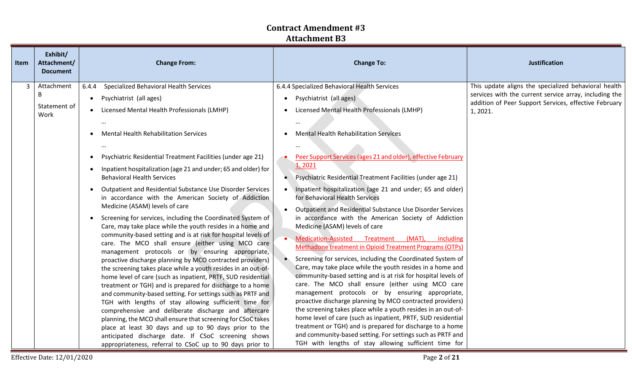| <b>Item</b>    | Exhibit/<br>Attachment/<br><b>Document</b> | <b>Change From:</b>                                                                                                                                                                                                                                                                                                                                                                                                                                                                                                                                                                                                                                                                                                                                                                                                                                                                                                                                                                                                                                                                                                                                                                                                                                                                                                                                                                                                                                                                                                                                                   | <b>Change To:</b>                                                                                                                                                                                                                                                                                                                                                                                                                                                                                                                                                                                                                                                                                                                                                                                                                                                                                                                                                                                                                                                                                                                                                                                                                                                                                                                                                                                 | <b>Justification</b>                                                                                                                                                                |
|----------------|--------------------------------------------|-----------------------------------------------------------------------------------------------------------------------------------------------------------------------------------------------------------------------------------------------------------------------------------------------------------------------------------------------------------------------------------------------------------------------------------------------------------------------------------------------------------------------------------------------------------------------------------------------------------------------------------------------------------------------------------------------------------------------------------------------------------------------------------------------------------------------------------------------------------------------------------------------------------------------------------------------------------------------------------------------------------------------------------------------------------------------------------------------------------------------------------------------------------------------------------------------------------------------------------------------------------------------------------------------------------------------------------------------------------------------------------------------------------------------------------------------------------------------------------------------------------------------------------------------------------------------|---------------------------------------------------------------------------------------------------------------------------------------------------------------------------------------------------------------------------------------------------------------------------------------------------------------------------------------------------------------------------------------------------------------------------------------------------------------------------------------------------------------------------------------------------------------------------------------------------------------------------------------------------------------------------------------------------------------------------------------------------------------------------------------------------------------------------------------------------------------------------------------------------------------------------------------------------------------------------------------------------------------------------------------------------------------------------------------------------------------------------------------------------------------------------------------------------------------------------------------------------------------------------------------------------------------------------------------------------------------------------------------------------|-------------------------------------------------------------------------------------------------------------------------------------------------------------------------------------|
| $\overline{3}$ | Attachment<br>B<br>Statement of<br>Work    | Specialized Behavioral Health Services<br>6.4.4<br>Psychiatrist (all ages)<br>$\bullet$<br>Licensed Mental Health Professionals (LMHP)<br>$\bullet$<br><b>Mental Health Rehabilitation Services</b><br>$\bullet$<br>Psychiatric Residential Treatment Facilities (under age 21)<br>Inpatient hospitalization (age 21 and under; 65 and older) for<br>$\bullet$<br><b>Behavioral Health Services</b><br>Outpatient and Residential Substance Use Disorder Services<br>in accordance with the American Society of Addiction<br>Medicine (ASAM) levels of care<br>Screening for services, including the Coordinated System of<br>$\bullet$<br>Care, may take place while the youth resides in a home and<br>community-based setting and is at risk for hospital levels of<br>care. The MCO shall ensure (either using MCO care<br>management protocols or by ensuring appropriate,<br>proactive discharge planning by MCO contracted providers)<br>the screening takes place while a youth resides in an out-of-<br>home level of care (such as inpatient, PRTF, SUD residential<br>treatment or TGH) and is prepared for discharge to a home<br>and community-based setting. For settings such as PRTF and<br>TGH with lengths of stay allowing sufficient time for<br>comprehensive and deliberate discharge and aftercare<br>planning, the MCO shall ensure that screening for CSoC takes<br>place at least 30 days and up to 90 days prior to the<br>anticipated discharge date. If CSoC screening shows<br>appropriateness, referral to CSoC up to 90 days prior to | 6.4.4 Specialized Behavioral Health Services<br>Psychiatrist (all ages)<br>Licensed Mental Health Professionals (LMHP)<br><b>Mental Health Rehabilitation Services</b><br>$\cdots$<br>Peer Support Services (ages 21 and older), effective February<br>1,2021<br>Psychiatric Residential Treatment Facilities (under age 21)<br>Inpatient hospitalization (age 21 and under; 65 and older)<br>for Behavioral Health Services<br>Outpatient and Residential Substance Use Disorder Services<br>in accordance with the American Society of Addiction<br>Medicine (ASAM) levels of care<br>Medication-Assisted Treatment (MAT), including<br><b>Methadone treatment in Opioid Treatment Programs (OTPs)</b><br>Screening for services, including the Coordinated System of<br>Care, may take place while the youth resides in a home and<br>community-based setting and is at risk for hospital levels of<br>care. The MCO shall ensure (either using MCO care<br>management protocols or by ensuring appropriate,<br>proactive discharge planning by MCO contracted providers)<br>the screening takes place while a youth resides in an out-of-<br>home level of care (such as inpatient, PRTF, SUD residential<br>treatment or TGH) and is prepared for discharge to a home<br>and community-based setting. For settings such as PRTF and<br>TGH with lengths of stay allowing sufficient time for | This update aligns the specialized behavioral health<br>services with the current service array, including the<br>addition of Peer Support Services, effective February<br>1, 2021. |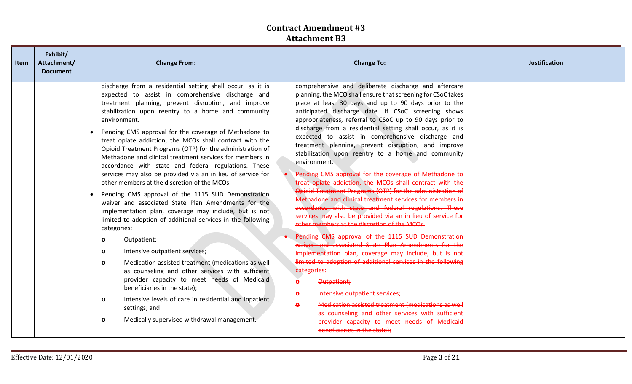| Item | Exhibit/<br>Attachment/<br><b>Document</b> | <b>Change From:</b>                                                                                                                                                                                                                                                                                                                                                                                                                                                                                                                                                                                                                                                                                                                                                                                                                                                                                                                                                                                                                                                                                                                                                                                                                                                                                                                                          | <b>Change To:</b>                                                                                                                                                                                                                                                                                                                                                                                                                                                                                                                                                                                                                                                                                                                                                                                                                                                                                                                                                                                                                                                                                                                                                                                                                                                                                                                                                                                                                                                                                                    | <b>Justification</b> |
|------|--------------------------------------------|--------------------------------------------------------------------------------------------------------------------------------------------------------------------------------------------------------------------------------------------------------------------------------------------------------------------------------------------------------------------------------------------------------------------------------------------------------------------------------------------------------------------------------------------------------------------------------------------------------------------------------------------------------------------------------------------------------------------------------------------------------------------------------------------------------------------------------------------------------------------------------------------------------------------------------------------------------------------------------------------------------------------------------------------------------------------------------------------------------------------------------------------------------------------------------------------------------------------------------------------------------------------------------------------------------------------------------------------------------------|----------------------------------------------------------------------------------------------------------------------------------------------------------------------------------------------------------------------------------------------------------------------------------------------------------------------------------------------------------------------------------------------------------------------------------------------------------------------------------------------------------------------------------------------------------------------------------------------------------------------------------------------------------------------------------------------------------------------------------------------------------------------------------------------------------------------------------------------------------------------------------------------------------------------------------------------------------------------------------------------------------------------------------------------------------------------------------------------------------------------------------------------------------------------------------------------------------------------------------------------------------------------------------------------------------------------------------------------------------------------------------------------------------------------------------------------------------------------------------------------------------------------|----------------------|
|      |                                            | discharge from a residential setting shall occur, as it is<br>expected to assist in comprehensive discharge and<br>treatment planning, prevent disruption, and improve<br>stabilization upon reentry to a home and community<br>environment.<br>Pending CMS approval for the coverage of Methadone to<br>$\bullet$<br>treat opiate addiction, the MCOs shall contract with the<br>Opioid Treatment Programs (OTP) for the administration of<br>Methadone and clinical treatment services for members in<br>accordance with state and federal regulations. These<br>services may also be provided via an in lieu of service for<br>other members at the discretion of the MCOs.<br>Pending CMS approval of the 1115 SUD Demonstration<br>waiver and associated State Plan Amendments for the<br>implementation plan, coverage may include, but is not<br>limited to adoption of additional services in the following<br>categories:<br>Outpatient;<br>$\circ$<br>Intensive outpatient services;<br>$\circ$<br>Medication assisted treatment (medications as well<br>$\circ$<br>as counseling and other services with sufficient<br>provider capacity to meet needs of Medicaid<br>beneficiaries in the state);<br>Intensive levels of care in residential and inpatient<br>$\circ$<br>settings; and<br>Medically supervised withdrawal management.<br>$\circ$ | comprehensive and deliberate discharge and aftercare<br>planning, the MCO shall ensure that screening for CSoC takes<br>place at least 30 days and up to 90 days prior to the<br>anticipated discharge date. If CSoC screening shows<br>appropriateness, referral to CSoC up to 90 days prior to<br>discharge from a residential setting shall occur, as it is<br>expected to assist in comprehensive discharge and<br>treatment planning, prevent disruption, and improve<br>stabilization upon reentry to a home and community<br>environment.<br>Pending CMS approval for the coverage of Methadone to<br>treat opiate addiction, the MCOs shall contract with the<br>Opioid Treatment Programs (OTP) for the administration of<br>Methadone and clinical treatment services for members in<br>accordance with state and federal regulations. These<br>services may also be provided via an in lieu of service for<br>other members at the discretion of the MCOs.<br>Pending CMS approval of the 1115 SUD Demonstration<br>waiver and associated State Plan Amendments for the<br>implementation plan, coverage may include, but is not<br>limited to adoption of additional services in the following<br>categories:<br>Outpatient;<br>$\bullet$<br>Intensive outpatient services;<br>$\bullet$<br>Medication assisted treatment (medications as well<br>$\ddot{\mathbf{e}}$<br>as counseling and other services with sufficient<br>provider capacity to meet needs of Medicaid<br>beneficiaries in the state); |                      |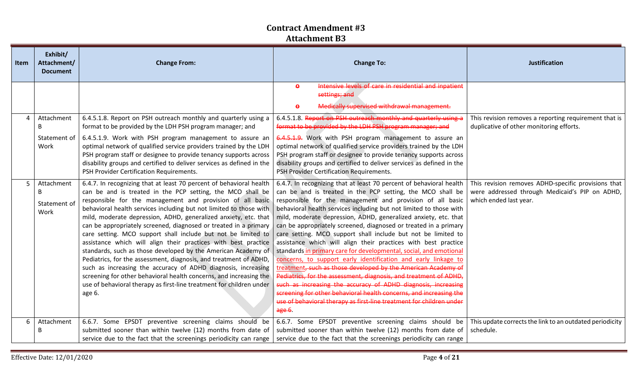| Item | Exhibit/<br>Attachment/<br><b>Document</b> | <b>Change From:</b>                                                                                                                                                                                                                                                                                                                                                                                                                                                                                                                                                                                                                                                                                                                                                                                                                                                                                           | <b>Change To:</b>                                                                                                                                                                                                                                                                                                                                                                                                                                                                                                                                                                                                                                                                                                                                                                                                                                                                                                                                                                                                                                     | <b>Justification</b>                                                                                                            |
|------|--------------------------------------------|---------------------------------------------------------------------------------------------------------------------------------------------------------------------------------------------------------------------------------------------------------------------------------------------------------------------------------------------------------------------------------------------------------------------------------------------------------------------------------------------------------------------------------------------------------------------------------------------------------------------------------------------------------------------------------------------------------------------------------------------------------------------------------------------------------------------------------------------------------------------------------------------------------------|-------------------------------------------------------------------------------------------------------------------------------------------------------------------------------------------------------------------------------------------------------------------------------------------------------------------------------------------------------------------------------------------------------------------------------------------------------------------------------------------------------------------------------------------------------------------------------------------------------------------------------------------------------------------------------------------------------------------------------------------------------------------------------------------------------------------------------------------------------------------------------------------------------------------------------------------------------------------------------------------------------------------------------------------------------|---------------------------------------------------------------------------------------------------------------------------------|
|      |                                            |                                                                                                                                                                                                                                                                                                                                                                                                                                                                                                                                                                                                                                                                                                                                                                                                                                                                                                               | Intensive levels of care in residential and inpatient<br>$\bullet$<br>settings; and<br>Medically supervised withdrawal management.<br>$\bullet$                                                                                                                                                                                                                                                                                                                                                                                                                                                                                                                                                                                                                                                                                                                                                                                                                                                                                                       |                                                                                                                                 |
| 4    | Attachment<br>B<br>Statement of<br>Work    | 6.4.5.1.8. Report on PSH outreach monthly and quarterly using a<br>format to be provided by the LDH PSH program manager; and<br>6.4.5.1.9. Work with PSH program management to assure an<br>optimal network of qualified service providers trained by the LDH<br>PSH program staff or designee to provide tenancy supports across<br>disability groups and certified to deliver services as defined in the<br>PSH Provider Certification Requirements.                                                                                                                                                                                                                                                                                                                                                                                                                                                        | 6.4.5.1.8. Report on PSH outreach monthly and quarterly using a<br>format to be provided by the LDH PSH program manager; and<br>6.4.5.1.9. Work with PSH program management to assure an<br>optimal network of qualified service providers trained by the LDH<br>PSH program staff or designee to provide tenancy supports across<br>disability groups and certified to deliver services as defined in the<br>PSH Provider Certification Requirements.                                                                                                                                                                                                                                                                                                                                                                                                                                                                                                                                                                                                | This revision removes a reporting requirement that is<br>duplicative of other monitoring efforts.                               |
| 5    | Attachment<br>B<br>Statement of<br>Work    | 6.4.7. In recognizing that at least 70 percent of behavioral health<br>can be and is treated in the PCP setting, the MCO shall be<br>responsible for the management and provision of all basic<br>behavioral health services including but not limited to those with<br>mild, moderate depression, ADHD, generalized anxiety, etc. that<br>can be appropriately screened, diagnosed or treated in a primary<br>care setting. MCO support shall include but not be limited to<br>assistance which will align their practices with best practice<br>standards, such as those developed by the American Academy of<br>Pediatrics, for the assessment, diagnosis, and treatment of ADHD,<br>such as increasing the accuracy of ADHD diagnosis, increasing<br>screening for other behavioral health concerns, and increasing the<br>use of behavioral therapy as first-line treatment for children under<br>age 6. | 6.4.7. In recognizing that at least 70 percent of behavioral health<br>can be and is treated in the PCP setting, the MCO shall be<br>responsible for the management and provision of all basic<br>behavioral health services including but not limited to those with<br>mild, moderate depression, ADHD, generalized anxiety, etc. that<br>can be appropriately screened, diagnosed or treated in a primary<br>care setting. MCO support shall include but not be limited to<br>assistance which will align their practices with best practice<br>standards in primary care for developmental, social, and emotional<br>concerns, to support early identification and early linkage to<br>treatment, such as those developed by the American Academy of<br>Pediatrics, for the assessment, diagnosis, and treatment of ADHD,<br>such as increasing the accuracy of ADHD diagnosis, increasing<br>screening for other behavioral health concerns, and increasing the<br>use of behavioral therapy as first-line treatment for children under<br>age 6. | This revision removes ADHD-specific provisions that<br>were addressed through Medicaid's PIP on ADHD,<br>which ended last year. |
| 6    | Attachment<br>B                            | 6.6.7. Some EPSDT preventive screening claims should be<br>submitted sooner than within twelve (12) months from date of<br>service due to the fact that the screenings periodicity can range                                                                                                                                                                                                                                                                                                                                                                                                                                                                                                                                                                                                                                                                                                                  | 6.6.7. Some EPSDT preventive screening claims should be<br>submitted sooner than within twelve (12) months from date of<br>service due to the fact that the screenings periodicity can range                                                                                                                                                                                                                                                                                                                                                                                                                                                                                                                                                                                                                                                                                                                                                                                                                                                          | This update corrects the link to an outdated periodicity<br>schedule.                                                           |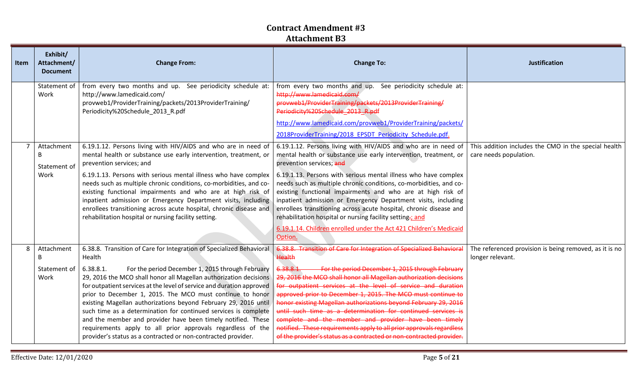| <b>Item</b> | Exhibit/<br>Attachment/<br><b>Document</b> | <b>Change From:</b>                                                                                                                                                                                                                                                                                                                                                                                                                                                                                                                                                                                                                                                                              | <b>Change To:</b>                                                                                                                                                                                                                                                                                                                                                                                                                                                                                                                                                                                                                                                                                | <b>Justification</b>                                                           |
|-------------|--------------------------------------------|--------------------------------------------------------------------------------------------------------------------------------------------------------------------------------------------------------------------------------------------------------------------------------------------------------------------------------------------------------------------------------------------------------------------------------------------------------------------------------------------------------------------------------------------------------------------------------------------------------------------------------------------------------------------------------------------------|--------------------------------------------------------------------------------------------------------------------------------------------------------------------------------------------------------------------------------------------------------------------------------------------------------------------------------------------------------------------------------------------------------------------------------------------------------------------------------------------------------------------------------------------------------------------------------------------------------------------------------------------------------------------------------------------------|--------------------------------------------------------------------------------|
|             | Statement of<br>Work                       | from every two months and up. See periodicity schedule at:<br>http://www.lamedicaid.com/<br>provweb1/ProviderTraining/packets/2013ProviderTraining/<br>Periodicity%20Schedule_2013_R.pdf                                                                                                                                                                                                                                                                                                                                                                                                                                                                                                         | from every two months and up. See periodicity schedule at:<br>http://www.lamedicaid.com/<br>provweb1/ProviderTraining/packets/2013ProviderTraining/<br>Periodicity%20Schedule 2013 R.pdf<br>http://www.lamedicaid.com/provweb1/ProviderTraining/packets/<br>2018ProviderTraining/2018 EPSDT Periodicity Schedule.pdf.                                                                                                                                                                                                                                                                                                                                                                            |                                                                                |
|             | Attachment<br>B<br>Statement of<br>Work    | 6.19.1.12. Persons living with HIV/AIDS and who are in need of<br>mental health or substance use early intervention, treatment, or<br>prevention services; and<br>6.19.1.13. Persons with serious mental illness who have complex<br>needs such as multiple chronic conditions, co-morbidities, and co-<br>existing functional impairments and who are at high risk of<br>inpatient admission or Emergency Department visits, including<br>enrollees transitioning across acute hospital, chronic disease and<br>rehabilitation hospital or nursing facility setting.                                                                                                                            | 6.19.1.12. Persons living with HIV/AIDS and who are in need of<br>mental health or substance use early intervention, treatment, or<br>prevention services; and<br>6.19.1.13. Persons with serious mental illness who have complex<br>needs such as multiple chronic conditions, co-morbidities, and co-<br>existing functional impairments and who are at high risk of<br>inpatient admission or Emergency Department visits, including<br>enrollees transitioning across acute hospital, chronic disease and<br>rehabilitation hospital or nursing facility setting-; and<br>6.19.1.14. Children enrolled under the Act 421 Children's Medicaid<br>Option.                                      | This addition includes the CMO in the special health<br>care needs population. |
| 8           | Attachment<br>B<br>Statement of<br>Work    | 6.38.8. Transition of Care for Integration of Specialized Behavioral<br>Health<br>For the period December 1, 2015 through February<br>6.38.8.1.<br>29, 2016 the MCO shall honor all Magellan authorization decisions<br>for outpatient services at the level of service and duration approved<br>prior to December 1, 2015. The MCO must continue to honor<br>existing Magellan authorizations beyond February 29, 2016 until<br>such time as a determination for continued services is complete<br>and the member and provider have been timely notified. These<br>requirements apply to all prior approvals regardless of the<br>provider's status as a contracted or non-contracted provider. | 6.38.8. Transition of Care for Integration of Specialized Behavioral<br>Health<br>For the period December 1, 2015 through February<br>6.38.8.1.<br>29, 2016 the MCO shall honor all Magellan authorization decisions<br>for outpatient services at the level of service and duration<br>approved prior to December 1, 2015. The MCO must continue to<br>honor existing Magellan authorizations beyond February 29, 2016<br>until such time as a determination for continued services is<br>complete and the member and provider have been timely<br>notified. These requirements apply to all prior approvals regardless<br>of the provider's status as a contracted or non-contracted provider. | The referenced provision is being removed, as it is no<br>longer relevant.     |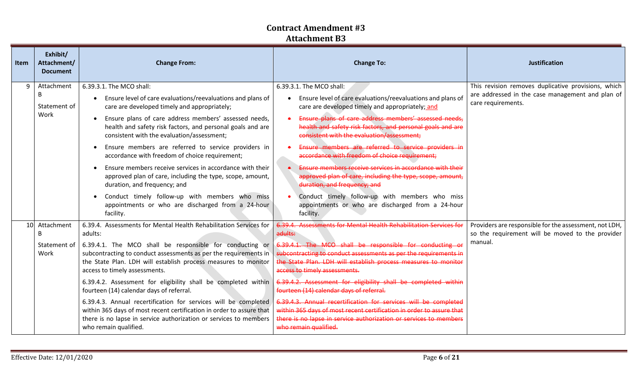| <b>Item</b> | Exhibit/<br>Attachment/<br><b>Document</b> | <b>Change From:</b>                                                                                                                                                                                                                                                                                                                                                                                                                                                                                                                                                                                                                                                                                             | <b>Change To:</b>                                                                                                                                                                                                                                                                                                                                                                                                                                                                                                                                                                                                                                                                                      | <b>Justification</b>                                                                                                          |
|-------------|--------------------------------------------|-----------------------------------------------------------------------------------------------------------------------------------------------------------------------------------------------------------------------------------------------------------------------------------------------------------------------------------------------------------------------------------------------------------------------------------------------------------------------------------------------------------------------------------------------------------------------------------------------------------------------------------------------------------------------------------------------------------------|--------------------------------------------------------------------------------------------------------------------------------------------------------------------------------------------------------------------------------------------------------------------------------------------------------------------------------------------------------------------------------------------------------------------------------------------------------------------------------------------------------------------------------------------------------------------------------------------------------------------------------------------------------------------------------------------------------|-------------------------------------------------------------------------------------------------------------------------------|
| 9           | Attachment<br>B<br>Statement of<br>Work    | 6.39.3.1. The MCO shall:<br>Ensure level of care evaluations/reevaluations and plans of<br>$\bullet$<br>care are developed timely and appropriately;<br>Ensure plans of care address members' assessed needs,<br>health and safety risk factors, and personal goals and are<br>consistent with the evaluation/assessment;<br>Ensure members are referred to service providers in<br>accordance with freedom of choice requirement;<br>Ensure members receive services in accordance with their<br>approved plan of care, including the type, scope, amount,<br>duration, and frequency; and<br>Conduct timely follow-up with members who miss<br>appointments or who are discharged from a 24-hour<br>facility. | 6.39.3.1. The MCO shall:<br>Ensure level of care evaluations/reevaluations and plans of<br>care are developed timely and appropriately; and<br>Ensure plans of care address members' assessed needs,<br>health and safety risk factors, and personal goals and are<br>consistent with the evaluation/assessment:<br>Ensure members are referred to service providers in<br>accordance with freedom of choice requirement;<br>Ensure members receive services in accordance with their<br>approved plan of care, including the type, scope, amount,<br>duration, and frequency; and<br>Conduct timely follow-up with members who miss<br>appointments or who are discharged from a 24-hour<br>facility. | This revision removes duplicative provisions, which<br>are addressed in the case management and plan of<br>care requirements. |
| 10          | Attachment<br>B<br>Statement of<br>Work    | 6.39.4. Assessments for Mental Health Rehabilitation Services for<br>adults:<br>6.39.4.1. The MCO shall be responsible for conducting or<br>subcontracting to conduct assessments as per the requirements in<br>the State Plan. LDH will establish process measures to monitor<br>access to timely assessments.<br>6.39.4.2. Assessment for eligibility shall be completed within<br>fourteen (14) calendar days of referral.<br>6.39.4.3. Annual recertification for services will be completed<br>within 365 days of most recent certification in order to assure that<br>there is no lapse in service authorization or services to members<br>who remain qualified.                                          | 6.39.4. Assessments for Mental Health Rehabilitation Services for<br>adults:<br>6.39.4.1. The MCO shall be responsible for conducting or<br>subcontracting to conduct assessments as per the requirements in<br>the State Plan. LDH will establish process measures to monitor<br>access to timely assessments.<br>6.39.4.2. Assessment for eligibility shall be completed within<br>fourteen (14) calendar days of referral.<br>6.39.4.3. Annual recertification for services will be completed<br>within 365 days of most recent certification in order to assure that<br>there is no lapse in service authorization or services to members<br>who remain qualified.                                 | Providers are responsible for the assessment, not LDH,<br>so the requirement will be moved to the provider<br>manual.         |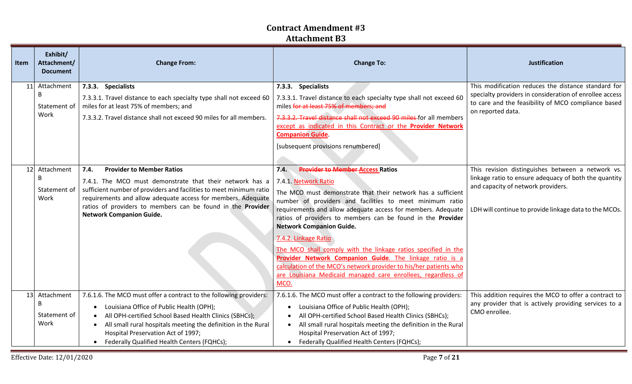| Item | Exhibit/<br>Attachment/<br><b>Document</b> | <b>Change From:</b>                                                                                                                                                                                                                                                                                                                                      | <b>Change To:</b>                                                                                                                                                                                                                                                                                                                                                                                                                                                                                                                                                                                                                                                       | <b>Justification</b>                                                                                                                                                                                       |
|------|--------------------------------------------|----------------------------------------------------------------------------------------------------------------------------------------------------------------------------------------------------------------------------------------------------------------------------------------------------------------------------------------------------------|-------------------------------------------------------------------------------------------------------------------------------------------------------------------------------------------------------------------------------------------------------------------------------------------------------------------------------------------------------------------------------------------------------------------------------------------------------------------------------------------------------------------------------------------------------------------------------------------------------------------------------------------------------------------------|------------------------------------------------------------------------------------------------------------------------------------------------------------------------------------------------------------|
|      | 11 Attachment<br>B<br>Statement of<br>Work | 7.3.3. Specialists<br>7.3.3.1. Travel distance to each specialty type shall not exceed 60<br>miles for at least 75% of members; and<br>7.3.3.2. Travel distance shall not exceed 90 miles for all members.                                                                                                                                               | 7.3.3. Specialists<br>7.3.3.1. Travel distance to each specialty type shall not exceed 60<br>miles for at least 75% of members; and<br>7.3.3.2. Travel distance shall not exceed 90 miles for all members<br>except as indicated in this Contract or the Provider Network<br><b>Companion Guide.</b><br>[subsequent provisions renumbered]                                                                                                                                                                                                                                                                                                                              | This modification reduces the distance standard for<br>specialty providers in consideration of enrollee access<br>to care and the feasibility of MCO compliance based<br>on reported data.                 |
| 12   | Attachment<br>B<br>Statement of<br>Work    | 7.4.<br><b>Provider to Member Ratios</b><br>7.4.1. The MCO must demonstrate that their network has a<br>sufficient number of providers and facilities to meet minimum ratio<br>requirements and allow adequate access for members. Adequate<br>ratios of providers to members can be found in the Provider<br><b>Network Companion Guide.</b>            | <b>Provider to Member Access Ratios</b><br>7.4.<br>7.4.1. Network Ratio<br>The MCO must demonstrate that their network has a sufficient<br>number of providers and facilities to meet minimum ratio<br>requirements and allow adequate access for members. Adequate<br>ratios of providers to members can be found in the Provider<br><b>Network Companion Guide.</b><br>7.4.2. Linkage Ratio<br>The MCO shall comply with the linkage ratios specified in the<br>Provider Network Companion Guide. The linkage ratio is a<br>calculation of the MCO's network provider to his/her patients who<br>are Louisiana Medicaid managed care enrollees, regardless of<br>MCO. | This revision distinguishes between a network vs.<br>linkage ratio to ensure adequacy of both the quantity<br>and capacity of network providers.<br>LDH will continue to provide linkage data to the MCOs. |
| 13   | Attachment<br>B<br>Statement of<br>Work    | 7.6.1.6. The MCO must offer a contract to the following providers:<br>Louisiana Office of Public Health (OPH);<br>$\bullet$<br>All OPH-certified School Based Health Clinics (SBHCs);<br>All small rural hospitals meeting the definition in the Rural<br>Hospital Preservation Act of 1997;<br>Federally Qualified Health Centers (FQHCs);<br>$\bullet$ | 7.6.1.6. The MCO must offer a contract to the following providers:<br>Louisiana Office of Public Health (OPH);<br>All OPH-certified School Based Health Clinics (SBHCs);<br>All small rural hospitals meeting the definition in the Rural<br>Hospital Preservation Act of 1997;<br>Federally Qualified Health Centers (FQHCs);                                                                                                                                                                                                                                                                                                                                          | This addition requires the MCO to offer a contract to<br>any provider that is actively providing services to a<br>CMO enrollee.                                                                            |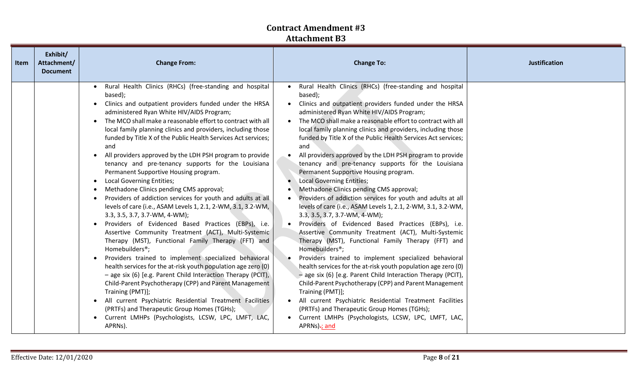| Item | Exhibit/<br>Attachment/<br><b>Document</b> | <b>Change From:</b>                                                                                                                                                                                                                                                                                                                                                                                                                                                                                                                                                                                                                                                                                                                                                                                                                                                                                                                                                                                                                                                                                                                                                                                                                                                                                                                                                                                                                                                                                                                                          | <b>Change To:</b>                                                                                                                                                                                                                                                                                                                                                                                                                                                                                                                                                                                                                                                                                                                                                                                                                                                                                                                                                                                                                                                                                                                                                                                                                                                                                                                                                                                                                                            | <b>Justification</b> |
|------|--------------------------------------------|--------------------------------------------------------------------------------------------------------------------------------------------------------------------------------------------------------------------------------------------------------------------------------------------------------------------------------------------------------------------------------------------------------------------------------------------------------------------------------------------------------------------------------------------------------------------------------------------------------------------------------------------------------------------------------------------------------------------------------------------------------------------------------------------------------------------------------------------------------------------------------------------------------------------------------------------------------------------------------------------------------------------------------------------------------------------------------------------------------------------------------------------------------------------------------------------------------------------------------------------------------------------------------------------------------------------------------------------------------------------------------------------------------------------------------------------------------------------------------------------------------------------------------------------------------------|--------------------------------------------------------------------------------------------------------------------------------------------------------------------------------------------------------------------------------------------------------------------------------------------------------------------------------------------------------------------------------------------------------------------------------------------------------------------------------------------------------------------------------------------------------------------------------------------------------------------------------------------------------------------------------------------------------------------------------------------------------------------------------------------------------------------------------------------------------------------------------------------------------------------------------------------------------------------------------------------------------------------------------------------------------------------------------------------------------------------------------------------------------------------------------------------------------------------------------------------------------------------------------------------------------------------------------------------------------------------------------------------------------------------------------------------------------------|----------------------|
|      |                                            | Rural Health Clinics (RHCs) (free-standing and hospital<br>$\bullet$<br>based);<br>Clinics and outpatient providers funded under the HRSA<br>administered Ryan White HIV/AIDS Program;<br>The MCO shall make a reasonable effort to contract with all<br>$\bullet$<br>local family planning clinics and providers, including those<br>funded by Title X of the Public Health Services Act services;<br>and<br>All providers approved by the LDH PSH program to provide<br>$\bullet$<br>tenancy and pre-tenancy supports for the Louisiana<br>Permanent Supportive Housing program.<br><b>Local Governing Entities;</b><br>$\bullet$<br>Methadone Clinics pending CMS approval;<br>Providers of addiction services for youth and adults at all<br>$\bullet$<br>levels of care (i.e., ASAM Levels 1, 2.1, 2-WM, 3.1, 3.2-WM,<br>$3.3, 3.5, 3.7, 3.7-WM, 4-WM);$<br>Providers of Evidenced Based Practices (EBPs), i.e.<br>Assertive Community Treatment (ACT), Multi-Systemic<br>Therapy (MST), Functional Family Therapy (FFT) and<br>Homebuilders <sup>®</sup> ;<br>Providers trained to implement specialized behavioral<br>$\bullet$<br>health services for the at-risk youth population age zero (0)<br>- age six (6) [e.g. Parent Child Interaction Therapy (PCIT),<br>Child-Parent Psychotherapy (CPP) and Parent Management<br>Training (PMT)];<br>All current Psychiatric Residential Treatment Facilities<br>$\bullet$<br>(PRTFs) and Therapeutic Group Homes (TGHs);<br>Current LMHPs (Psychologists, LCSW, LPC, LMFT, LAC,<br>$\bullet$<br>APRNs). | Rural Health Clinics (RHCs) (free-standing and hospital<br>based);<br>Clinics and outpatient providers funded under the HRSA<br>administered Ryan White HIV/AIDS Program;<br>• The MCO shall make a reasonable effort to contract with all<br>local family planning clinics and providers, including those<br>funded by Title X of the Public Health Services Act services;<br>and<br>All providers approved by the LDH PSH program to provide<br>tenancy and pre-tenancy supports for the Louisiana<br>Permanent Supportive Housing program.<br>• Local Governing Entities;<br>Methadone Clinics pending CMS approval;<br>Providers of addiction services for youth and adults at all<br>levels of care (i.e., ASAM Levels 1, 2.1, 2-WM, 3.1, 3.2-WM,<br>$3.3, 3.5, 3.7, 3.7-WM, 4-WM);$<br>• Providers of Evidenced Based Practices (EBPs), i.e.<br>Assertive Community Treatment (ACT), Multi-Systemic<br>Therapy (MST), Functional Family Therapy (FFT) and<br>Homebuilders <sup>®</sup> ;<br>Providers trained to implement specialized behavioral<br>health services for the at-risk youth population age zero (0)<br>$-$ age six (6) [e.g. Parent Child Interaction Therapy (PCIT),<br>Child-Parent Psychotherapy (CPP) and Parent Management<br>Training (PMT)];<br>• All current Psychiatric Residential Treatment Facilities<br>(PRTFs) and Therapeutic Group Homes (TGHs);<br>Current LMHPs (Psychologists, LCSW, LPC, LMFT, LAC,<br>APRNs)-; and |                      |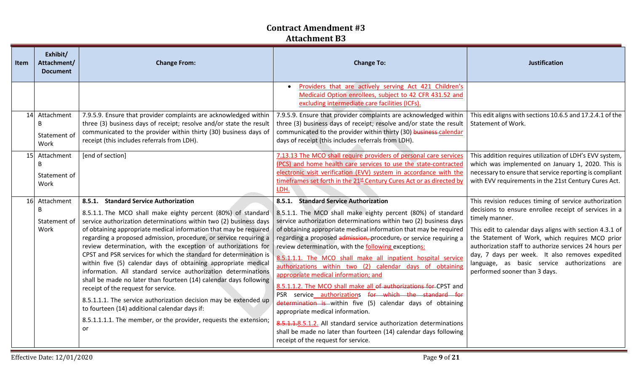| <b>Item</b> | Exhibit/<br>Attachment/<br><b>Document</b> | <b>Change From:</b>                                                                                                                                                                                                                                                                                                                                                                                                                                                                                                                                                                                                                                                                                                                                                                                                                                                                                         | <b>Change To:</b>                                                                                                                                                                                                                                                                                                                                                                                                                                                                                                                                                                                                                                                                                                                                                                                                                                                                                                                                                  | <b>Justification</b>                                                                                                                                                                                                                                                                                                                                                                                                                          |
|-------------|--------------------------------------------|-------------------------------------------------------------------------------------------------------------------------------------------------------------------------------------------------------------------------------------------------------------------------------------------------------------------------------------------------------------------------------------------------------------------------------------------------------------------------------------------------------------------------------------------------------------------------------------------------------------------------------------------------------------------------------------------------------------------------------------------------------------------------------------------------------------------------------------------------------------------------------------------------------------|--------------------------------------------------------------------------------------------------------------------------------------------------------------------------------------------------------------------------------------------------------------------------------------------------------------------------------------------------------------------------------------------------------------------------------------------------------------------------------------------------------------------------------------------------------------------------------------------------------------------------------------------------------------------------------------------------------------------------------------------------------------------------------------------------------------------------------------------------------------------------------------------------------------------------------------------------------------------|-----------------------------------------------------------------------------------------------------------------------------------------------------------------------------------------------------------------------------------------------------------------------------------------------------------------------------------------------------------------------------------------------------------------------------------------------|
|             |                                            |                                                                                                                                                                                                                                                                                                                                                                                                                                                                                                                                                                                                                                                                                                                                                                                                                                                                                                             | Providers that are actively serving Act 421 Children's<br>Medicaid Option enrollees, subject to 42 CFR 431.52 and<br>excluding intermediate care facilities (ICFs).                                                                                                                                                                                                                                                                                                                                                                                                                                                                                                                                                                                                                                                                                                                                                                                                |                                                                                                                                                                                                                                                                                                                                                                                                                                               |
|             | 14 Attachment<br>B<br>Statement of<br>Work | 7.9.5.9. Ensure that provider complaints are acknowledged within<br>three (3) business days of receipt; resolve and/or state the result<br>communicated to the provider within thirty (30) business days of<br>receipt (this includes referrals from LDH).                                                                                                                                                                                                                                                                                                                                                                                                                                                                                                                                                                                                                                                  | 7.9.5.9. Ensure that provider complaints are acknowledged within<br>three (3) business days of receipt; resolve and/or state the result<br>communicated to the provider within thirty (30) business-calendar<br>days of receipt (this includes referrals from LDH).                                                                                                                                                                                                                                                                                                                                                                                                                                                                                                                                                                                                                                                                                                | This edit aligns with sections 10.6.5 and 17.2.4.1 of the<br>Statement of Work.                                                                                                                                                                                                                                                                                                                                                               |
|             | 15 Attachment<br>B<br>Statement of<br>Work | [end of section]                                                                                                                                                                                                                                                                                                                                                                                                                                                                                                                                                                                                                                                                                                                                                                                                                                                                                            | 7.13.13 The MCO shall require providers of personal care services<br>(PCS) and home health care services to use the state-contracted<br>electronic visit verification (EVV) system in accordance with the<br>timeframes set forth in the 21st Century Cures Act or as directed by<br>LDH.                                                                                                                                                                                                                                                                                                                                                                                                                                                                                                                                                                                                                                                                          | This addition requires utilization of LDH's EVV system,<br>which was implemented on January 1, 2020. This is<br>necessary to ensure that service reporting is compliant<br>with EVV requirements in the 21st Century Cures Act.                                                                                                                                                                                                               |
|             | 16 Attachment<br>B<br>Statement of<br>Work | 8.5.1. Standard Service Authorization<br>8.5.1.1. The MCO shall make eighty percent (80%) of standard<br>service authorization determinations within two (2) business days<br>of obtaining appropriate medical information that may be required<br>regarding a proposed admission, procedure, or service requiring a<br>review determination, with the exception of authorizations for<br>CPST and PSR services for which the standard for determination is<br>within five (5) calendar days of obtaining appropriate medical<br>information. All standard service authorization determinations<br>shall be made no later than fourteen (14) calendar days following<br>receipt of the request for service.<br>8.5.1.1.1. The service authorization decision may be extended up<br>to fourteen (14) additional calendar days if:<br>8.5.1.1.1.1. The member, or the provider, requests the extension;<br>or | 8.5.1. Standard Service Authorization<br>8.5.1.1. The MCO shall make eighty percent (80%) of standard<br>service authorization determinations within two (2) business days<br>of obtaining appropriate medical information that may be required<br>regarding a proposed admission, procedure, or service requiring a<br>review determination, with the following exceptions:<br>8.5.1.1.1. The MCO shall make all inpatient hospital service<br>authorizations within two (2) calendar days of obtaining<br>appropriate medical information; and<br>8.5.1.1.2. The MCO shall make all of authorizations for CPST and<br>PSR service authorizations for which the standard for<br>determination is within five (5) calendar days of obtaining<br>appropriate medical information.<br>8.5.1.1.8.5.1.2. All standard service authorization determinations<br>shall be made no later than fourteen (14) calendar days following<br>receipt of the request for service. | This revision reduces timing of service authorization<br>decisions to ensure enrollee receipt of services in a<br>timely manner.<br>This edit to calendar days aligns with section 4.3.1 of<br>the Statement of Work, which requires MCO prior<br>authorization staff to authorize services 24 hours per<br>day, 7 days per week. It also removes expedited<br>language, as basic service authorizations are<br>performed sooner than 3 days. |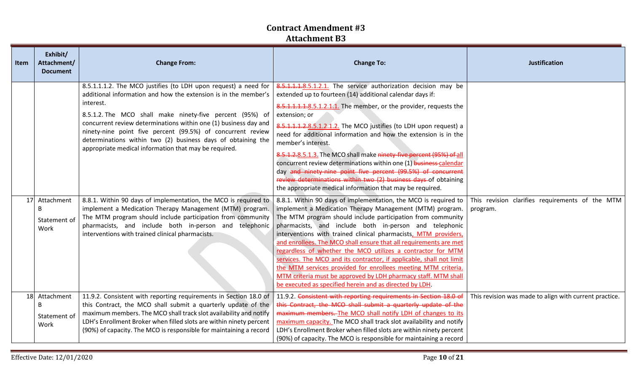| Item | Exhibit/<br>Attachment/<br><b>Document</b> | <b>Change From:</b>                                                                                                                                                                                                                                                                                                                                                                                                                                                     | <b>Change To:</b>                                                                                                                                                                                                                                                                                                                                                                                                                                                                                                                                                                                                                                                                                                                 | <b>Justification</b>                                        |
|------|--------------------------------------------|-------------------------------------------------------------------------------------------------------------------------------------------------------------------------------------------------------------------------------------------------------------------------------------------------------------------------------------------------------------------------------------------------------------------------------------------------------------------------|-----------------------------------------------------------------------------------------------------------------------------------------------------------------------------------------------------------------------------------------------------------------------------------------------------------------------------------------------------------------------------------------------------------------------------------------------------------------------------------------------------------------------------------------------------------------------------------------------------------------------------------------------------------------------------------------------------------------------------------|-------------------------------------------------------------|
|      |                                            | 8.5.1.1.1.2. The MCO justifies (to LDH upon request) a need for<br>additional information and how the extension is in the member's<br>interest.<br>8.5.1.2. The MCO shall make ninety-five percent (95%) of<br>concurrent review determinations within one (1) business day and<br>ninety-nine point five percent (99.5%) of concurrent review<br>determinations within two (2) business days of obtaining the<br>appropriate medical information that may be required. | 8.5.1.1.1.8.5.1.2.1. The service authorization decision may be<br>extended up to fourteen (14) additional calendar days if:<br>8.5.1.1.1.1.8.5.1.2.1.1. The member, or the provider, requests the<br>extension; or<br>8.5.1.1.1.2.8.5.1.2.1.2. The MCO justifies (to LDH upon request) a<br>need for additional information and how the extension is in the<br>member's interest.<br>8.5.1.2.8.5.1.3. The MCO shall make ninety five percent (95%) of all<br>concurrent review determinations within one (1) business calendar<br>day and ninety-nine point five percent (99.5%) of concurrent<br>review determinations within two (2) business days of obtaining<br>the appropriate medical information that may be required.    |                                                             |
|      | 17 Attachment<br>B<br>Statement of<br>Work | 8.8.1. Within 90 days of implementation, the MCO is required to<br>implement a Medication Therapy Management (MTM) program.<br>The MTM program should include participation from community<br>pharmacists, and include both in-person and telephonic<br>interventions with trained clinical pharmacists.                                                                                                                                                                | 8.8.1. Within 90 days of implementation, the MCO is required to<br>implement a Medication Therapy Management (MTM) program.<br>The MTM program should include participation from community<br>pharmacists, and include both in-person and telephonic<br>interventions with trained clinical pharmacists, MTM providers,<br>and enrollees. The MCO shall ensure that all requirements are met<br>regardless of whether the MCO utilizes a contractor for MTM<br>services. The MCO and its contractor, if applicable, shall not limit<br>the MTM services provided for enrollees meeting MTM criteria.<br>MTM criteria must be approved by LDH pharmacy staff. MTM shall<br>be executed as specified herein and as directed by LDH. | This revision clarifies requirements of the MTM<br>program. |
| 18   | Attachment<br>B<br>Statement of<br>Work    | 11.9.2. Consistent with reporting requirements in Section 18.0 of<br>this Contract, the MCO shall submit a quarterly update of the<br>maximum members. The MCO shall track slot availability and notify<br>LDH's Enrollment Broker when filled slots are within ninety percent<br>(90%) of capacity. The MCO is responsible for maintaining a record                                                                                                                    | 11.9.2. Consistent with reporting requirements in Section 18.0 of<br>this Contract, the MCO shall submit a quarterly update of the<br>maximum members. The MCO shall notify LDH of changes to its<br>maximum capacity. The MCO shall track slot availability and notify<br>LDH's Enrollment Broker when filled slots are within ninety percent<br>(90%) of capacity. The MCO is responsible for maintaining a record                                                                                                                                                                                                                                                                                                              | This revision was made to align with current practice.      |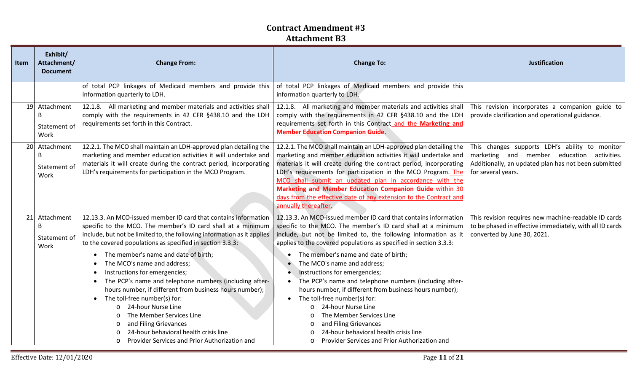| Item | Exhibit/<br>Attachment/<br><b>Document</b>            | <b>Change From:</b>                                                                                                                                                                                                                                                                                                                                                                                                                                                                                                                                                                                                                                                                                                                   | <b>Change To:</b>                                                                                                                                                                                                                                                                                                                                                                                                                                                                                                                                                                                                                                                                                                                          | Justification                                                                                                                                                              |
|------|-------------------------------------------------------|---------------------------------------------------------------------------------------------------------------------------------------------------------------------------------------------------------------------------------------------------------------------------------------------------------------------------------------------------------------------------------------------------------------------------------------------------------------------------------------------------------------------------------------------------------------------------------------------------------------------------------------------------------------------------------------------------------------------------------------|--------------------------------------------------------------------------------------------------------------------------------------------------------------------------------------------------------------------------------------------------------------------------------------------------------------------------------------------------------------------------------------------------------------------------------------------------------------------------------------------------------------------------------------------------------------------------------------------------------------------------------------------------------------------------------------------------------------------------------------------|----------------------------------------------------------------------------------------------------------------------------------------------------------------------------|
|      |                                                       | of total PCP linkages of Medicaid members and provide this<br>information quarterly to LDH.                                                                                                                                                                                                                                                                                                                                                                                                                                                                                                                                                                                                                                           | of total PCP linkages of Medicaid members and provide this<br>information quarterly to LDH.                                                                                                                                                                                                                                                                                                                                                                                                                                                                                                                                                                                                                                                |                                                                                                                                                                            |
|      | 19 Attachment<br>B<br>Statement of<br>Work            | 12.1.8. All marketing and member materials and activities shall<br>comply with the requirements in 42 CFR §438.10 and the LDH<br>requirements set forth in this Contract.                                                                                                                                                                                                                                                                                                                                                                                                                                                                                                                                                             | 12.1.8. All marketing and member materials and activities shall<br>comply with the requirements in 42 CFR §438.10 and the LDH<br>requirements set forth in this Contract and the Marketing and<br><b>Member Education Companion Guide.</b>                                                                                                                                                                                                                                                                                                                                                                                                                                                                                                 | This revision incorporates a companion guide to<br>provide clarification and operational guidance.                                                                         |
|      | 20 Attachment<br>B<br>Statement of<br>Work            | 12.2.1. The MCO shall maintain an LDH-approved plan detailing the<br>marketing and member education activities it will undertake and<br>materials it will create during the contract period, incorporating<br>LDH's requirements for participation in the MCO Program.                                                                                                                                                                                                                                                                                                                                                                                                                                                                | 12.2.1. The MCO shall maintain an LDH-approved plan detailing the<br>marketing and member education activities it will undertake and<br>materials it will create during the contract period, incorporating<br>LDH's requirements for participation in the MCO Program. The<br>MCO shall submit an updated plan in accordance with the<br>Marketing and Member Education Companion Guide within 30<br>days from the effective date of any extension to the Contract and<br>annually thereafter.                                                                                                                                                                                                                                             | This changes supports LDH's ability to monitor<br>marketing and member education activities.<br>Additionally, an updated plan has not been submitted<br>for several years. |
|      | 21 Attachment<br><sub>B</sub><br>Statement of<br>Work | 12.13.3. An MCO-issued member ID card that contains information<br>specific to the MCO. The member's ID card shall at a minimum<br>include, but not be limited to, the following information as it applies<br>to the covered populations as specified in section 3.3.3:<br>The member's name and date of birth;<br>The MCO's name and address;<br>Instructions for emergencies;<br>The PCP's name and telephone numbers (including after-<br>$\bullet$<br>hours number, if different from business hours number);<br>The toll-free number(s) for:<br>$\bullet$<br>24-hour Nurse Line<br>The Member Services Line<br>and Filing Grievances<br>24-hour behavioral health crisis line<br>o Provider Services and Prior Authorization and | 12.13.3. An MCO-issued member ID card that contains information<br>specific to the MCO. The member's ID card shall at a minimum<br>include, but not be limited to, the following information as it<br>applies to the covered populations as specified in section 3.3.3:<br>The member's name and date of birth;<br>The MCO's name and address;<br>Instructions for emergencies;<br>The PCP's name and telephone numbers (including after-<br>hours number, if different from business hours number);<br>The toll-free number(s) for:<br>24-hour Nurse Line<br>$\circ$<br>The Member Services Line<br>and Filing Grievances<br>$\circ$<br>24-hour behavioral health crisis line<br>Provider Services and Prior Authorization and<br>$\circ$ | This revision requires new machine-readable ID cards<br>to be phased in effective immediately, with all ID cards<br>converted by June 30, 2021.                            |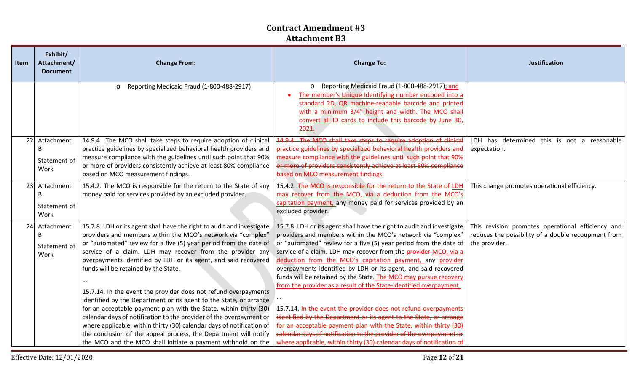| <b>Item</b> | Exhibit/<br>Attachment/<br><b>Document</b> | <b>Change From:</b>                                                                                                                                                                                                                                                                                                                                                                                                                                                                                                                                                                                                                                                                                                                                                                                                                                                                   | <b>Change To:</b>                                                                                                                                                                                                                                                                                                                                                                                                                                                                                                                                                                                                                                                                                                                                                                                                                                                                                                               | Justification                                                                                                             |
|-------------|--------------------------------------------|---------------------------------------------------------------------------------------------------------------------------------------------------------------------------------------------------------------------------------------------------------------------------------------------------------------------------------------------------------------------------------------------------------------------------------------------------------------------------------------------------------------------------------------------------------------------------------------------------------------------------------------------------------------------------------------------------------------------------------------------------------------------------------------------------------------------------------------------------------------------------------------|---------------------------------------------------------------------------------------------------------------------------------------------------------------------------------------------------------------------------------------------------------------------------------------------------------------------------------------------------------------------------------------------------------------------------------------------------------------------------------------------------------------------------------------------------------------------------------------------------------------------------------------------------------------------------------------------------------------------------------------------------------------------------------------------------------------------------------------------------------------------------------------------------------------------------------|---------------------------------------------------------------------------------------------------------------------------|
|             |                                            | o Reporting Medicaid Fraud (1-800-488-2917)                                                                                                                                                                                                                                                                                                                                                                                                                                                                                                                                                                                                                                                                                                                                                                                                                                           | Reporting Medicaid Fraud (1-800-488-2917); and<br>$\circ$<br>The member's Unique Identifying number encoded into a<br>standard 2D, QR machine-readable barcode and printed<br>with a minimum 3/4" height and width. The MCO shall<br>convert all ID cards to include this barcode by June 30,<br>2021.                                                                                                                                                                                                                                                                                                                                                                                                                                                                                                                                                                                                                          |                                                                                                                           |
|             | 22 Attachment<br>B<br>Statement of<br>Work | 14.9.4 The MCO shall take steps to require adoption of clinical<br>practice guidelines by specialized behavioral health providers and<br>measure compliance with the guidelines until such point that 90%<br>or more of providers consistently achieve at least 80% compliance<br>based on MCO measurement findings.                                                                                                                                                                                                                                                                                                                                                                                                                                                                                                                                                                  | 14.9.4 The MCO shall take steps to require adoption of clinical<br>practice guidelines by specialized behavioral health providers and<br>measure compliance with the guidelines until such point that 90%<br>or more of providers consistently achieve at least 80% compliance<br>based on MCO measurement findings.                                                                                                                                                                                                                                                                                                                                                                                                                                                                                                                                                                                                            | LDH has determined this is not a reasonable<br>expectation.                                                               |
|             | 23 Attachment<br>B<br>Statement of<br>Work | 15.4.2. The MCO is responsible for the return to the State of any<br>money paid for services provided by an excluded provider.                                                                                                                                                                                                                                                                                                                                                                                                                                                                                                                                                                                                                                                                                                                                                        | 15.4.2. The MCO is responsible for the return to the State of LDH<br>may recover from the MCO, via a deduction from the MCO's<br>capitation payment, any money paid for services provided by an<br>excluded provider.                                                                                                                                                                                                                                                                                                                                                                                                                                                                                                                                                                                                                                                                                                           | This change promotes operational efficiency.                                                                              |
|             | 24 Attachment<br>B<br>Statement of<br>Work | 15.7.8. LDH or its agent shall have the right to audit and investigate<br>providers and members within the MCO's network via "complex"<br>or "automated" review for a five (5) year period from the date of<br>service of a claim. LDH may recover from the provider any<br>overpayments identified by LDH or its agent, and said recovered<br>funds will be retained by the State.<br>15.7.14. In the event the provider does not refund overpayments<br>identified by the Department or its agent to the State, or arrange<br>for an acceptable payment plan with the State, within thirty (30)<br>calendar days of notification to the provider of the overpayment or<br>where applicable, within thirty (30) calendar days of notification of<br>the conclusion of the appeal process, the Department will notify<br>the MCO and the MCO shall initiate a payment withhold on the | 15.7.8. LDH or its agent shall have the right to audit and investigate<br>providers and members within the MCO's network via "complex"<br>or "automated" review for a five (5) year period from the date of<br>service of a claim. LDH may recover from the <b>provider-MCO</b> , via a<br>deduction from the MCO's capitation payment, any provider<br>overpayments identified by LDH or its agent, and said recovered<br>funds will be retained by the State. The MCO may pursue recovery<br>from the provider as a result of the State-identified overpayment.<br>15.7.14. In the event the provider does not refund overpayments<br>identified by the Department or its agent to the State, or arrange<br>for an acceptable payment plan with the State, within thirty (30)<br>calendar days of notification to the provider of the overpayment or<br>where applicable, within thirty (30) calendar days of notification of | This revision promotes operational efficiency and<br>reduces the possibility of a double recoupment from<br>the provider. |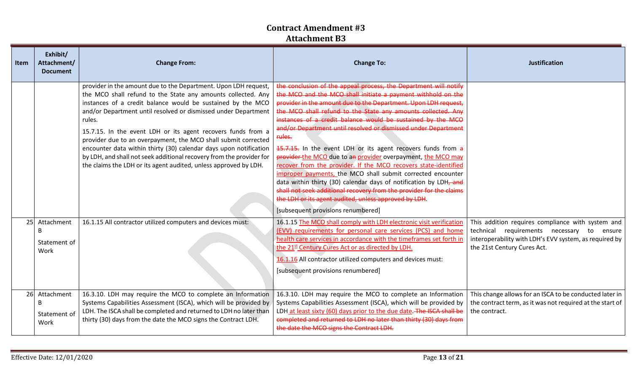| <b>Item</b> | Exhibit/<br>Attachment/<br><b>Document</b> | <b>Change From:</b>                                                                                                                                                                                                                                                                                                                                                                                                                                                                                                                                                                                                           | <b>Change To:</b>                                                                                                                                                                                                                                                                                                                                                                                                                                                                                                                                                                                                                                                                                                                                                                                                                                                                                                                       | <b>Justification</b>                                                                                                                                                                        |
|-------------|--------------------------------------------|-------------------------------------------------------------------------------------------------------------------------------------------------------------------------------------------------------------------------------------------------------------------------------------------------------------------------------------------------------------------------------------------------------------------------------------------------------------------------------------------------------------------------------------------------------------------------------------------------------------------------------|-----------------------------------------------------------------------------------------------------------------------------------------------------------------------------------------------------------------------------------------------------------------------------------------------------------------------------------------------------------------------------------------------------------------------------------------------------------------------------------------------------------------------------------------------------------------------------------------------------------------------------------------------------------------------------------------------------------------------------------------------------------------------------------------------------------------------------------------------------------------------------------------------------------------------------------------|---------------------------------------------------------------------------------------------------------------------------------------------------------------------------------------------|
|             |                                            | provider in the amount due to the Department. Upon LDH request,<br>the MCO shall refund to the State any amounts collected. Any<br>instances of a credit balance would be sustained by the MCO<br>and/or Department until resolved or dismissed under Department<br>rules.<br>15.7.15. In the event LDH or its agent recovers funds from a<br>provider due to an overpayment, the MCO shall submit corrected<br>encounter data within thirty (30) calendar days upon notification<br>by LDH, and shall not seek additional recovery from the provider for<br>the claims the LDH or its agent audited, unless approved by LDH. | the conclusion of the appeal process, the Department will notify<br>the MCO and the MCO shall initiate a payment withhold on the<br>provider in the amount due to the Department. Upon LDH request,<br>the MCO shall refund to the State any amounts collected. Any<br>instances of a credit balance would be sustained by the MCO<br>and/or Department until resolved or dismissed under Department<br>rules.<br>15.7.15. In the event LDH or its agent recovers funds from a<br>provider the MCO due to an provider overpayment, the MCO may<br>recover from the provider. If the MCO recovers state-identified<br>improper payments, the MCO shall submit corrected encounter<br>data within thirty (30) calendar days of notification by LDH <sub>7</sub> and<br>shall not seek additional recovery from the provider for the claims<br>the LDH or its agent audited, unless approved by LDH.<br>[subsequent provisions renumbered] |                                                                                                                                                                                             |
|             | 25 Attachment<br>B<br>Statement of<br>Work | 16.1.15 All contractor utilized computers and devices must:                                                                                                                                                                                                                                                                                                                                                                                                                                                                                                                                                                   | 16.1.15 The MCO shall comply with LDH electronic visit verification<br>(EVV) requirements for personal care services (PCS) and home<br>health care services in accordance with the timeframes set forth in<br>the 21st Century Cures Act or as directed by LDH.<br>16.1.16 All contractor utilized computers and devices must:<br>[subsequent provisions renumbered]                                                                                                                                                                                                                                                                                                                                                                                                                                                                                                                                                                    | This addition requires compliance with system and<br>technical requirements necessary to<br>ensure<br>interoperability with LDH's EVV system, as required by<br>the 21st Century Cures Act. |
| 26          | Attachment<br>B<br>Statement of<br>Work    | 16.3.10. LDH may require the MCO to complete an Information<br>Systems Capabilities Assessment (ISCA), which will be provided by<br>LDH. The ISCA shall be completed and returned to LDH no later than<br>thirty (30) days from the date the MCO signs the Contract LDH.                                                                                                                                                                                                                                                                                                                                                      | 16.3.10. LDH may require the MCO to complete an Information<br>Systems Capabilities Assessment (ISCA), which will be provided by<br>LDH at least sixty (60) days prior to the due date. The ISCA shall be<br>completed and returned to LDH no later than thirty (30) days from<br>the date the MCO signs the Contract LDH.                                                                                                                                                                                                                                                                                                                                                                                                                                                                                                                                                                                                              | This change allows for an ISCA to be conducted later in<br>the contract term, as it was not required at the start of<br>the contract.                                                       |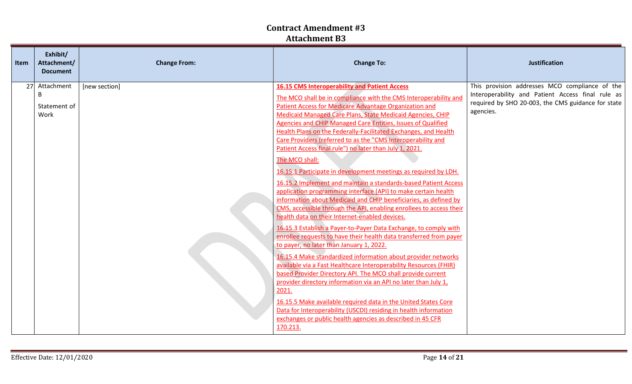| Item | Exhibit/<br>Attachment/<br><b>Document</b> | <b>Change From:</b> | <b>Change To:</b>                                                                                                                                                                                                                                                                                                                                                                                                                                                                                                                                                                                                                                                                                                                                                                                                                                                                                                                                                                                                                                                                                                                                                                                                                                                                                                                                                                                                                                                                                                                                                                                                                   | <b>Justification</b>                                                                                                                                                   |
|------|--------------------------------------------|---------------------|-------------------------------------------------------------------------------------------------------------------------------------------------------------------------------------------------------------------------------------------------------------------------------------------------------------------------------------------------------------------------------------------------------------------------------------------------------------------------------------------------------------------------------------------------------------------------------------------------------------------------------------------------------------------------------------------------------------------------------------------------------------------------------------------------------------------------------------------------------------------------------------------------------------------------------------------------------------------------------------------------------------------------------------------------------------------------------------------------------------------------------------------------------------------------------------------------------------------------------------------------------------------------------------------------------------------------------------------------------------------------------------------------------------------------------------------------------------------------------------------------------------------------------------------------------------------------------------------------------------------------------------|------------------------------------------------------------------------------------------------------------------------------------------------------------------------|
|      | 27 Attachment<br>B<br>Statement of<br>Work | [new section]       | <b>16.15 CMS Interoperability and Patient Access</b><br>The MCO shall be in compliance with the CMS Interoperability and<br><b>Patient Access for Medicare Advantage Organization and</b><br>Medicaid Managed Care Plans, State Medicaid Agencies, CHIP<br>Agencies and CHIP Managed Care Entities, Issues of Qualified<br>Health Plans on the Federally-Facilitated Exchanges, and Health<br>Care Providers (referred to as the "CMS Interoperability and<br>Patient Access final rule") no later than July 1, 2021.<br>The MCO shall:<br>16.15.1 Participate in development meetings as required by LDH.<br>16.15.2 Implement and maintain a standards-based Patient Access<br>application programming interface (API) to make certain health<br>information about Medicaid and CHIP beneficiaries, as defined by<br>CMS, accessible through the API, enabling enrollees to access their<br>health data on their Internet-enabled devices.<br>16.15.3 Establish a Payer-to-Payer Data Exchange, to comply with<br>enrollee requests to have their health data transferred from payer<br>to payer, no later than January 1, 2022.<br>16.15.4 Make standardized information about provider networks<br>available via a Fast Healthcare Interoperability Resources (FHIR)<br>based Provider Directory API. The MCO shall provide current<br>provider directory information via an API no later than July 1,<br>2021.<br>16.15.5 Make available required data in the United States Core<br>Data for Interoperability (USCDI) residing in health information<br>exchanges or public health agencies as described in 45 CFR<br>170.213. | This provision addresses MCO compliance of the<br>Interoperability and Patient Access final rule as<br>required by SHO 20-003, the CMS guidance for state<br>agencies. |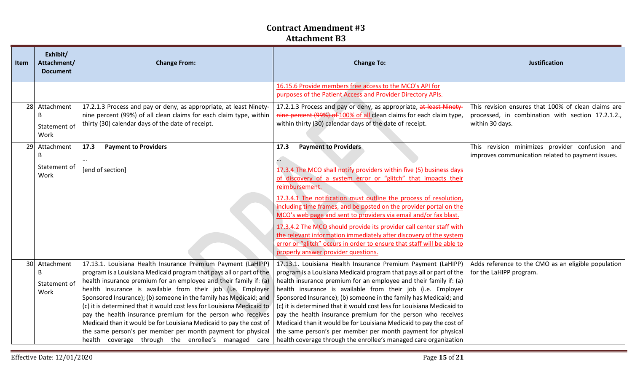| <b>Item</b> | Exhibit/<br>Attachment/<br><b>Document</b>     | <b>Change From:</b>                                                                                                                                                                                                                                                                                                                                                                                                                                                                                                                                                                                                                                                                  | <b>Change To:</b>                                                                                                                                                                                                                                                                                                                                                                                                                                                                                                                                                                                                                                                                                 | <b>Justification</b>                                                                                                        |
|-------------|------------------------------------------------|--------------------------------------------------------------------------------------------------------------------------------------------------------------------------------------------------------------------------------------------------------------------------------------------------------------------------------------------------------------------------------------------------------------------------------------------------------------------------------------------------------------------------------------------------------------------------------------------------------------------------------------------------------------------------------------|---------------------------------------------------------------------------------------------------------------------------------------------------------------------------------------------------------------------------------------------------------------------------------------------------------------------------------------------------------------------------------------------------------------------------------------------------------------------------------------------------------------------------------------------------------------------------------------------------------------------------------------------------------------------------------------------------|-----------------------------------------------------------------------------------------------------------------------------|
|             |                                                |                                                                                                                                                                                                                                                                                                                                                                                                                                                                                                                                                                                                                                                                                      | 16.15.6 Provide members free access to the MCO's API for<br>purposes of the Patient Access and Provider Directory APIs.                                                                                                                                                                                                                                                                                                                                                                                                                                                                                                                                                                           |                                                                                                                             |
| 28          | Attachment<br>B<br>Statement of<br>Work        | 17.2.1.3 Process and pay or deny, as appropriate, at least Ninety-<br>nine percent (99%) of all clean claims for each claim type, within<br>thirty (30) calendar days of the date of receipt.                                                                                                                                                                                                                                                                                                                                                                                                                                                                                        | 17.2.1.3 Process and pay or deny, as appropriate, at least Ninety-<br>nine percent (99%) of 100% of all clean claims for each claim type,<br>within thirty (30) calendar days of the date of receipt.                                                                                                                                                                                                                                                                                                                                                                                                                                                                                             | This revision ensures that 100% of clean claims are<br>processed, in combination with section 17.2.1.2.,<br>within 30 days. |
| 29          | Attachment<br>B<br>Statement of<br>Work        | 17.3<br><b>Payment to Providers</b><br>[end of section]                                                                                                                                                                                                                                                                                                                                                                                                                                                                                                                                                                                                                              | 17.3<br><b>Payment to Providers</b><br>$\ldots$<br>17.3.4 The MCO shall notify providers within five (5) business days<br>of discovery of a system error or "glitch" that impacts their<br>reimbursement.<br>17.3.4.1 The notification must outline the process of resolution,<br>including time frames, and be posted on the provider portal on the<br>MCO's web page and sent to providers via email and/or fax blast.<br>17.3.4.2 The MCO should provide its provider call center staff with<br>the relevant information immediately after discovery of the system<br>error or "glitch" occurs in order to ensure that staff will be able to<br>properly answer provider questions.            | This revision minimizes provider confusion and<br>improves communication related to payment issues.                         |
| 30          | Attachment<br><b>B</b><br>Statement of<br>Work | 17.13.1. Louisiana Health Insurance Premium Payment (LaHIPP)<br>program is a Louisiana Medicaid program that pays all or part of the<br>health insurance premium for an employee and their family if: (a)<br>health insurance is available from their job (i.e. Employer<br>Sponsored Insurance); (b) someone in the family has Medicaid; and<br>(c) it is determined that it would cost less for Louisiana Medicaid to<br>pay the health insurance premium for the person who receives<br>Medicaid than it would be for Louisiana Medicaid to pay the cost of<br>the same person's per member per month payment for physical<br>health coverage through the enrollee's managed care | 17.13.1. Louisiana Health Insurance Premium Payment (LaHIPP)<br>program is a Louisiana Medicaid program that pays all or part of the<br>health insurance premium for an employee and their family if: (a)<br>health insurance is available from their job (i.e. Employer<br>Sponsored Insurance); (b) someone in the family has Medicaid; and<br>(c) it is determined that it would cost less for Louisiana Medicaid to<br>pay the health insurance premium for the person who receives<br>Medicaid than it would be for Louisiana Medicaid to pay the cost of<br>the same person's per member per month payment for physical<br>health coverage through the enrollee's managed care organization | Adds reference to the CMO as an eligible population<br>for the LaHIPP program.                                              |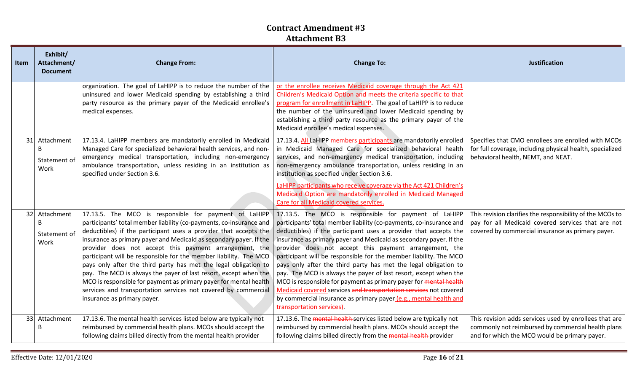| Item | Exhibit/<br>Attachment/<br><b>Document</b> | <b>Change From:</b>                                                                                                                                                                                                                                                                                                                                                                                                                                                                                                                                                                                                                                                                                                | <b>Change To:</b>                                                                                                                                                                                                                                                                                                                                                                                                                                                                                                                                                                                                                                                                                                                                                                        | <b>Justification</b>                                                                                                                                                 |  |
|------|--------------------------------------------|--------------------------------------------------------------------------------------------------------------------------------------------------------------------------------------------------------------------------------------------------------------------------------------------------------------------------------------------------------------------------------------------------------------------------------------------------------------------------------------------------------------------------------------------------------------------------------------------------------------------------------------------------------------------------------------------------------------------|------------------------------------------------------------------------------------------------------------------------------------------------------------------------------------------------------------------------------------------------------------------------------------------------------------------------------------------------------------------------------------------------------------------------------------------------------------------------------------------------------------------------------------------------------------------------------------------------------------------------------------------------------------------------------------------------------------------------------------------------------------------------------------------|----------------------------------------------------------------------------------------------------------------------------------------------------------------------|--|
|      |                                            | organization. The goal of LaHIPP is to reduce the number of the<br>uninsured and lower Medicaid spending by establishing a third<br>party resource as the primary payer of the Medicaid enrollee's<br>medical expenses.                                                                                                                                                                                                                                                                                                                                                                                                                                                                                            | or the enrollee receives Medicaid coverage through the Act 421<br>Children's Medicaid Option and meets the criteria specific to that<br>program for enrollment in LaHIPP. The goal of LaHIPP is to reduce<br>the number of the uninsured and lower Medicaid spending by<br>establishing a third party resource as the primary payer of the<br>Medicaid enrollee's medical expenses.                                                                                                                                                                                                                                                                                                                                                                                                      |                                                                                                                                                                      |  |
|      | 31 Attachment<br>B<br>Statement of<br>Work | 17.13.4. LaHIPP members are mandatorily enrolled in Medicaid<br>Managed Care for specialized behavioral health services, and non-<br>emergency medical transportation, including non-emergency<br>ambulance transportation, unless residing in an institution as<br>specified under Section 3.6.                                                                                                                                                                                                                                                                                                                                                                                                                   | 17.13.4. All LaHIPP members-participants are mandatorily enrolled<br>in Medicaid Managed Care for specialized behavioral health<br>services, and non-emergency medical transportation, including<br>non-emergency ambulance transportation, unless residing in an<br>institution as specified under Section 3.6.<br>LaHIPP participants who receive coverage via the Act 421 Children's<br>Medicaid Option are mandatorily enrolled in Medicaid Managed<br>Care for all Medicaid covered services.                                                                                                                                                                                                                                                                                       | Specifies that CMO enrollees are enrolled with MCOs<br>for full coverage, including physical health, specialized<br>behavioral health, NEMT, and NEAT.               |  |
|      | 32 Attachment<br>B<br>Statement of<br>Work | 17.13.5. The MCO is responsible for payment of LaHIPP<br>participants' total member liability (co-payments, co-insurance and<br>deductibles) if the participant uses a provider that accepts the<br>insurance as primary payer and Medicaid as secondary payer. If the<br>provider does not accept this payment arrangement, the<br>participant will be responsible for the member liability. The MCO<br>pays only after the third party has met the legal obligation to<br>pay. The MCO is always the payer of last resort, except when the<br>MCO is responsible for payment as primary payer for mental health<br>services and transportation services not covered by commercial<br>insurance as primary payer. | 17.13.5. The MCO is responsible for payment of LaHIPP<br>participants' total member liability (co-payments, co-insurance and<br>deductibles) if the participant uses a provider that accepts the<br>insurance as primary payer and Medicaid as secondary payer. If the<br>provider does not accept this payment arrangement, the<br>participant will be responsible for the member liability. The MCO<br>pays only after the third party has met the legal obligation to<br>pay. The MCO is always the payer of last resort, except when the<br>MCO is responsible for payment as primary payer for mental health<br>Medicaid covered services and transportation services not covered<br>by commercial insurance as primary payer (e.g., mental health and<br>transportation services). | This revision clarifies the responsibility of the MCOs to<br>pay for all Medicaid covered services that are not<br>covered by commercial insurance as primary payer. |  |
|      | 33 Attachment<br>B                         | 17.13.6. The mental health services listed below are typically not<br>reimbursed by commercial health plans. MCOs should accept the<br>following claims billed directly from the mental health provider                                                                                                                                                                                                                                                                                                                                                                                                                                                                                                            | 17.13.6. The mental health services listed below are typically not<br>reimbursed by commercial health plans. MCOs should accept the<br>following claims billed directly from the mental health provider                                                                                                                                                                                                                                                                                                                                                                                                                                                                                                                                                                                  | This revision adds services used by enrollees that are<br>commonly not reimbursed by commercial health plans<br>and for which the MCO would be primary payer.        |  |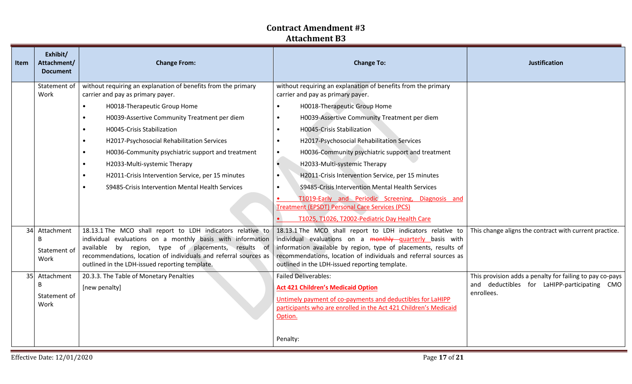| <b>Item</b> | Exhibit/<br>Attachment/<br><b>Document</b>                  | <b>Change From:</b>                                                                                                                                                                                                                                                                                                                                                                                                                                                                                                                        | <b>Change To:</b>                                                                                                                                                                                                                                                                                                                                                                                                                                                                                                                                                                                                                                                                                                      | <b>Justification</b>                                                                                               |
|-------------|-------------------------------------------------------------|--------------------------------------------------------------------------------------------------------------------------------------------------------------------------------------------------------------------------------------------------------------------------------------------------------------------------------------------------------------------------------------------------------------------------------------------------------------------------------------------------------------------------------------------|------------------------------------------------------------------------------------------------------------------------------------------------------------------------------------------------------------------------------------------------------------------------------------------------------------------------------------------------------------------------------------------------------------------------------------------------------------------------------------------------------------------------------------------------------------------------------------------------------------------------------------------------------------------------------------------------------------------------|--------------------------------------------------------------------------------------------------------------------|
|             | Statement of<br>Work                                        | without requiring an explanation of benefits from the primary<br>carrier and pay as primary payer.<br>H0018-Therapeutic Group Home<br>$\bullet$<br>H0039-Assertive Community Treatment per diem<br>$\bullet$<br>H0045-Crisis Stabilization<br>$\bullet$<br>H2017-Psychosocial Rehabilitation Services<br>$\bullet$<br>H0036-Community psychiatric support and treatment<br>$\bullet$<br>H2033-Multi-systemic Therapy<br>$\bullet$<br>H2011-Crisis Intervention Service, per 15 minutes<br>S9485-Crisis Intervention Mental Health Services | without requiring an explanation of benefits from the primary<br>carrier and pay as primary payer.<br>H0018-Therapeutic Group Home<br>$\bullet$<br>H0039-Assertive Community Treatment per diem<br>$\bullet$<br>H0045-Crisis Stabilization<br>$\bullet$<br>H2017-Psychosocial Rehabilitation Services<br>$\bullet$<br>H0036-Community psychiatric support and treatment<br>$\bullet$<br>H2033-Multi-systemic Therapy<br>$\bullet$<br>H2011-Crisis Intervention Service, per 15 minutes<br>$\bullet$<br>S9485-Crisis Intervention Mental Health Services<br>T1019-Early and Periodic Screening, Diagnosis and<br><b>Treatment (EPSDT) Personal Care Services (PCS)</b><br>T1025, T1026, T2002-Pediatric Day Health Care |                                                                                                                    |
|             | 34 Attachment<br>B<br>Statement of<br>Work<br>35 Attachment | 18.13.1 The MCO shall report to LDH indicators relative to<br>individual evaluations on a monthly basis with information<br>available by region, type of placements, results of<br>recommendations, location of individuals and referral sources as<br>outlined in the LDH-issued reporting template.<br>20.3.3. The Table of Monetary Penalties                                                                                                                                                                                           | 18.13.1 The MCO shall report to LDH indicators relative to<br>individual evaluations on a monthly quarterly basis with<br>information available by region, type of placements, results of<br>recommendations, location of individuals and referral sources as<br>outlined in the LDH-issued reporting template.<br><b>Failed Deliverables:</b>                                                                                                                                                                                                                                                                                                                                                                         | This change aligns the contract with current practice.<br>This provision adds a penalty for failing to pay co-pays |
|             | B<br>Statement of<br>Work                                   | [new penalty]                                                                                                                                                                                                                                                                                                                                                                                                                                                                                                                              | <b>Act 421 Children's Medicaid Option</b><br>Untimely payment of co-payments and deductibles for LaHIPP<br>participants who are enrolled in the Act 421 Children's Medicaid<br>Option.<br>Penalty:                                                                                                                                                                                                                                                                                                                                                                                                                                                                                                                     | and deductibles for LaHIPP-participating CMO<br>enrollees.                                                         |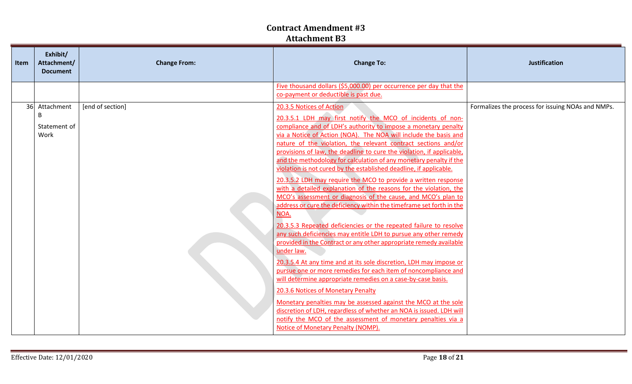| <b>Item</b> | Exhibit/<br>Attachment/<br><b>Document</b> | <b>Change From:</b> | <b>Change To:</b>                                                                                                                                                                                                                                                                                                                                                                                                                                                                                                                                                                                                                                                                                                                                                                                                                                                                                                                                                                                                                                                                                                                                                                                                                                                                                                                                                                                                                                                                                                                     | <b>Justification</b>                              |  |
|-------------|--------------------------------------------|---------------------|---------------------------------------------------------------------------------------------------------------------------------------------------------------------------------------------------------------------------------------------------------------------------------------------------------------------------------------------------------------------------------------------------------------------------------------------------------------------------------------------------------------------------------------------------------------------------------------------------------------------------------------------------------------------------------------------------------------------------------------------------------------------------------------------------------------------------------------------------------------------------------------------------------------------------------------------------------------------------------------------------------------------------------------------------------------------------------------------------------------------------------------------------------------------------------------------------------------------------------------------------------------------------------------------------------------------------------------------------------------------------------------------------------------------------------------------------------------------------------------------------------------------------------------|---------------------------------------------------|--|
|             |                                            |                     | Five thousand dollars (\$5,000.00) per occurrence per day that the<br>co-payment or deductible is past due.                                                                                                                                                                                                                                                                                                                                                                                                                                                                                                                                                                                                                                                                                                                                                                                                                                                                                                                                                                                                                                                                                                                                                                                                                                                                                                                                                                                                                           |                                                   |  |
|             | 36 Attachment<br>B<br>Statement of<br>Work | [end of section]    | 20.3.5 Notices of Action<br>20.3.5.1 LDH may first notify the MCO of incidents of non-<br>compliance and of LDH's authority to impose a monetary penalty<br>via a Notice of Action (NOA). The NOA will include the basis and<br>nature of the violation, the relevant contract sections and/or<br>provisions of law, the deadline to cure the violation, if applicable,<br>and the methodology for calculation of any monetary penalty if the<br>violation is not cured by the established deadline, if applicable.<br>20.3.5.2 LDH may require the MCO to provide a written response<br>with a detailed explanation of the reasons for the violation, the<br>MCO's assessment or diagnosis of the cause, and MCO's plan to<br>address or cure the deficiency within the timeframe set forth in the<br>NOA.<br>20.3.5.3 Repeated deficiencies or the repeated failure to resolve<br>any such deficiencies may entitle LDH to pursue any other remedy<br>provided in the Contract or any other appropriate remedy available<br>under law.<br>20.3.5.4 At any time and at its sole discretion, LDH may impose or<br>pursue one or more remedies for each item of noncompliance and<br>will determine appropriate remedies on a case-by-case basis.<br>20.3.6 Notices of Monetary Penalty<br>Monetary penalties may be assessed against the MCO at the sole<br>discretion of LDH, regardless of whether an NOA is issued. LDH will<br>notify the MCO of the assessment of monetary penalties via a<br>Notice of Monetary Penalty (NOMP). | Formalizes the process for issuing NOAs and NMPs. |  |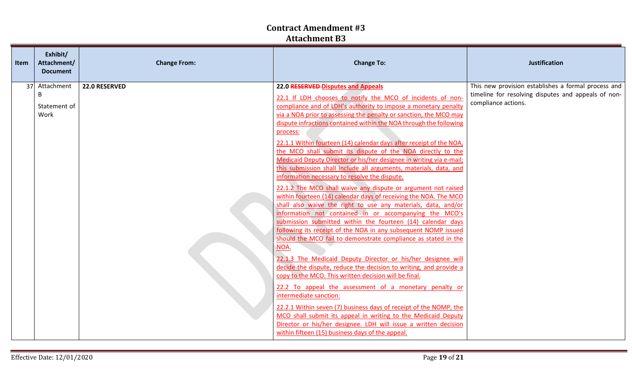| <b>Item</b> | Exhibit/<br>Attachment/<br><b>Document</b> | <b>Change From:</b> | <b>Change To:</b>                                                                                                                                                                                                                                                                                                                                                                                                                                                                                                                                                                                                                                                                                                                                                                                                                                                                                                                                                                                                                                                                                                                                                                                                                                                                                                                                                                                                                                                                                                                                                                                                                                                                      | <b>Justification</b>                                                                                                              |
|-------------|--------------------------------------------|---------------------|----------------------------------------------------------------------------------------------------------------------------------------------------------------------------------------------------------------------------------------------------------------------------------------------------------------------------------------------------------------------------------------------------------------------------------------------------------------------------------------------------------------------------------------------------------------------------------------------------------------------------------------------------------------------------------------------------------------------------------------------------------------------------------------------------------------------------------------------------------------------------------------------------------------------------------------------------------------------------------------------------------------------------------------------------------------------------------------------------------------------------------------------------------------------------------------------------------------------------------------------------------------------------------------------------------------------------------------------------------------------------------------------------------------------------------------------------------------------------------------------------------------------------------------------------------------------------------------------------------------------------------------------------------------------------------------|-----------------------------------------------------------------------------------------------------------------------------------|
|             | 37 Attachment<br>B<br>Statement of<br>Work | 22.0 RESERVED       | 22.0 RESERVED-Disputes and Appeals<br>22.1 If LDH chooses to notify the MCO of incidents of non-<br>compliance and of LDH's authority to impose a monetary penalty<br>via a NOA prior to assessing the penalty or sanction, the MCO may<br>dispute infractions contained within the NOA through the following<br>process:<br>22.1.1 Within fourteen (14) calendar days after receipt of the NOA,<br>the MCO shall submit its dispute of the NOA directly to the<br>Medicaid Deputy Director or his/her designee in writing via e-mail;<br>this submission shall include all arguments, materials, data, and<br>information necessary to resolve the dispute.<br>22.1.2 The MCO shall waive any dispute or argument not raised<br>within fourteen (14) calendar days of receiving the NOA. The MCO<br>shall also waive the right to use any materials, data, and/or<br>information not contained in or accompanying the MCO's<br>submission submitted within the fourteen (14) calendar days<br>following its receipt of the NOA in any subsequent NOMP issued<br>should the MCO fail to demonstrate compliance as stated in the<br>NOA.<br>22.1.3 The Medicaid Deputy Director or his/her designee will<br>decide the dispute, reduce the decision to writing, and provide a<br>copy to the MCO. This written decision will be final.<br>22.2 To appeal the assessment of a monetary penalty or<br>intermediate sanction:<br>22.2.1 Within seven (7) business days of receipt of the NOMP, the<br>MCO shall submit its appeal in writing to the Medicaid Deputy<br>Director or his/her designee. LDH will issue a written decision<br>within fifteen (15) business days of the appeal. | This new provision establishes a formal process and<br>timeline for resolving disputes and appeals of non-<br>compliance actions. |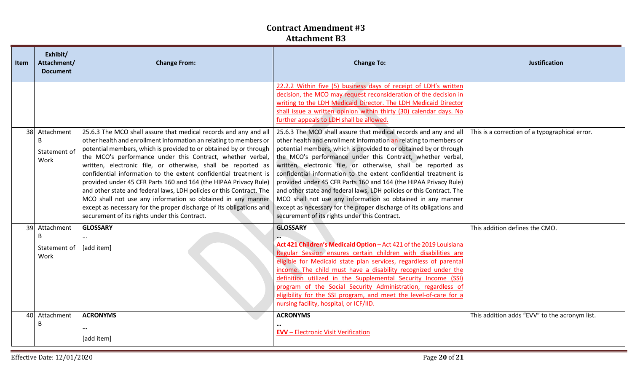| Item | Exhibit/<br>Attachment/<br><b>Document</b> | <b>Change From:</b>                                                                                                                                                                                                                                                                                                                                                                                                                                                                                                                                                                                                                                                                                                                             | <b>Change To:</b>                                                                                                                                                                                                                                                                                                                                                                                                                                                                                                                                                                                                                                                                                                                               | <b>Justification</b>                           |  |
|------|--------------------------------------------|-------------------------------------------------------------------------------------------------------------------------------------------------------------------------------------------------------------------------------------------------------------------------------------------------------------------------------------------------------------------------------------------------------------------------------------------------------------------------------------------------------------------------------------------------------------------------------------------------------------------------------------------------------------------------------------------------------------------------------------------------|-------------------------------------------------------------------------------------------------------------------------------------------------------------------------------------------------------------------------------------------------------------------------------------------------------------------------------------------------------------------------------------------------------------------------------------------------------------------------------------------------------------------------------------------------------------------------------------------------------------------------------------------------------------------------------------------------------------------------------------------------|------------------------------------------------|--|
|      |                                            |                                                                                                                                                                                                                                                                                                                                                                                                                                                                                                                                                                                                                                                                                                                                                 | 22.2.2 Within five (5) business days of receipt of LDH's written<br>decision, the MCO may request reconsideration of the decision in<br>writing to the LDH Medicaid Director. The LDH Medicaid Director<br>shall issue a written opinion within thirty (30) calendar days. No<br>further appeals to LDH shall be allowed.                                                                                                                                                                                                                                                                                                                                                                                                                       |                                                |  |
| 38   | Attachment<br>B<br>Statement of<br>Work    | 25.6.3 The MCO shall assure that medical records and any and all<br>other health and enrollment information an relating to members or<br>potential members, which is provided to or obtained by or through<br>the MCO's performance under this Contract, whether verbal,<br>written, electronic file, or otherwise, shall be reported as<br>confidential information to the extent confidential treatment is<br>provided under 45 CFR Parts 160 and 164 (the HIPAA Privacy Rule)<br>and other state and federal laws, LDH policies or this Contract. The<br>MCO shall not use any information so obtained in any manner<br>except as necessary for the proper discharge of its obligations and<br>securement of its rights under this Contract. | 25.6.3 The MCO shall assure that medical records and any and all<br>other health and enrollment information an relating to members or<br>potential members, which is provided to or obtained by or through<br>the MCO's performance under this Contract, whether verbal,<br>written, electronic file, or otherwise, shall be reported as<br>confidential information to the extent confidential treatment is<br>provided under 45 CFR Parts 160 and 164 (the HIPAA Privacy Rule)<br>and other state and federal laws, LDH policies or this Contract. The<br>MCO shall not use any information so obtained in any manner<br>except as necessary for the proper discharge of its obligations and<br>securement of its rights under this Contract. | This is a correction of a typographical error. |  |
| 39   | Attachment<br>B<br>Statement of<br>Work    | <b>GLOSSARY</b><br>$\cdots$<br>[add item]                                                                                                                                                                                                                                                                                                                                                                                                                                                                                                                                                                                                                                                                                                       | <b>GLOSSARY</b><br>Act 421 Children's Medicaid Option - Act 421 of the 2019 Louisiana<br>Regular Session ensures certain children with disabilities are<br>eligible for Medicaid state plan services, regardless of parental<br>income. The child must have a disability recognized under the<br>definition utilized in the Supplemental Security Income (SSI)<br>program of the Social Security Administration, regardless of<br>eligibility for the SSI program, and meet the level-of-care for a<br>nursing facility, hospital, or ICF/IID.                                                                                                                                                                                                  | This addition defines the CMO.                 |  |
| 40   | Attachment<br>B                            | <b>ACRONYMS</b><br>$\cdots$<br>[add item]                                                                                                                                                                                                                                                                                                                                                                                                                                                                                                                                                                                                                                                                                                       | <b>ACRONYMS</b><br><b>EVV</b> - Electronic Visit Verification                                                                                                                                                                                                                                                                                                                                                                                                                                                                                                                                                                                                                                                                                   | This addition adds "EVV" to the acronym list.  |  |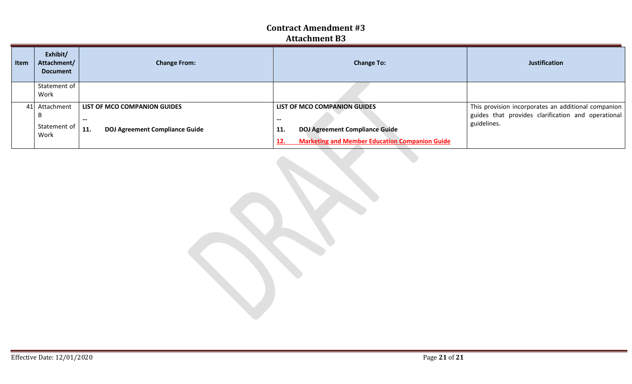| Item | Exhibit/<br>Attachment/<br><b>Document</b> | <b>Change From:</b>                          | <b>Change To:</b>                                            | <b>Justification</b>                                |  |
|------|--------------------------------------------|----------------------------------------------|--------------------------------------------------------------|-----------------------------------------------------|--|
|      | Statement of                               |                                              |                                                              |                                                     |  |
|      | Work                                       |                                              |                                                              |                                                     |  |
|      | 41 Attachment                              | LIST OF MCO COMPANION GUIDES                 | LIST OF MCO COMPANION GUIDES                                 | This provision incorporates an additional companion |  |
|      | B                                          | $\cdots$                                     | $\cdots$                                                     | guides that provides clarification and operational  |  |
|      | Statement of                               | 11.<br><b>DOJ Agreement Compliance Guide</b> | <b>DOJ Agreement Compliance Guide</b><br>11.                 | guidelines.                                         |  |
|      | Work                                       |                                              |                                                              |                                                     |  |
|      |                                            |                                              | <b>Marketing and Member Education Companion Guide</b><br>12. |                                                     |  |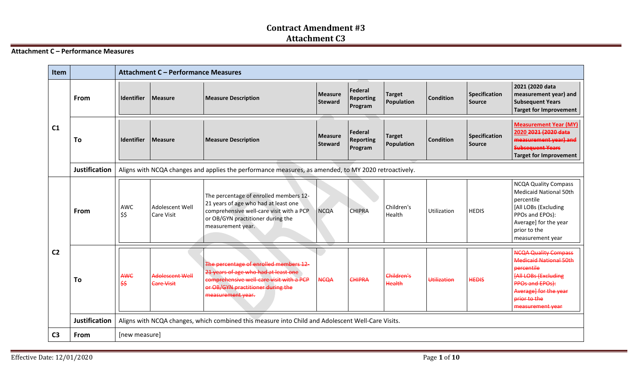#### **Attachment C – Performance Measures**

| <b>Item</b>    |                      |               | Attachment C - Performance Measures  |                                                                                                                                                                                      |                                  |                                               |                             |                    |                                |                                                                                                                                                                                                  |
|----------------|----------------------|---------------|--------------------------------------|--------------------------------------------------------------------------------------------------------------------------------------------------------------------------------------|----------------------------------|-----------------------------------------------|-----------------------------|--------------------|--------------------------------|--------------------------------------------------------------------------------------------------------------------------------------------------------------------------------------------------|
| C1             | From                 | Identifier    | <b>Measure</b>                       | <b>Measure Description</b>                                                                                                                                                           | <b>Measure</b><br><b>Steward</b> | <b>Federal</b><br><b>Reporting</b><br>Program | <b>Target</b><br>Population | <b>Condition</b>   | Specification<br><b>Source</b> | 2021 (2020 data<br>measurement year) and<br><b>Subsequent Years</b><br><b>Target for Improvement</b>                                                                                             |
|                | To                   | Identifier    | <b>Measure</b>                       | <b>Measure Description</b>                                                                                                                                                           | <b>Measure</b><br><b>Steward</b> | <b>Federal</b><br><b>Reporting</b><br>Program | <b>Target</b><br>Population | <b>Condition</b>   | <b>Specification</b><br>Source | <b>Measurement Year (MY)</b><br>2020 2021 (2020 data<br>measurement year) and<br><b>Subsequent Years</b><br><b>Target for Improvement</b>                                                        |
|                | <b>Justification</b> |               |                                      | Aligns with NCQA changes and applies the performance measures, as amended, to MY 2020 retroactively.                                                                                 |                                  |                                               |                             |                    |                                |                                                                                                                                                                                                  |
| C <sub>2</sub> | From                 | AWC<br>\$\$   | Adolescent Well<br><b>Care Visit</b> | The percentage of enrolled members 12-<br>21 years of age who had at least one<br>comprehensive well-care visit with a PCP<br>or OB/GYN practitioner during the<br>measurement year. | <b>NCQA</b>                      | <b>CHIPRA</b>                                 | Children's<br>Health        | Utilization        | <b>HEDIS</b>                   | <b>NCQA Quality Compass</b><br><b>Medicaid National 50th</b><br>percentile<br>[All LOBs (Excluding<br>PPOs and EPOs):<br>Average] for the year<br>prior to the<br>measurement year               |
|                | To                   | AWC<br>\$\$   | Adolescent Well<br><b>Care Visit</b> | The percentage of enrolled members 12-<br>21 years of age who had at least one<br>comprehensive well-care visit with a PCP<br>or OB/GYN practitioner during the<br>measurement year. | <b>NCQA</b>                      | <b>CHIPRA</b>                                 | Children's<br><b>Health</b> | <b>Utilization</b> | <b>HEDIS</b>                   | <b>NCQA Quality Compass</b><br><b>Medicaid National 50th</b><br>percentile<br><b>FAIL LOBs (Excluding</b><br><b>PPOs and EPOs):</b><br>Average] for the year<br>prior to the<br>measurement year |
|                | <b>Justification</b> |               |                                      | Aligns with NCQA changes, which combined this measure into Child and Adolescent Well-Care Visits.                                                                                    |                                  |                                               |                             |                    |                                |                                                                                                                                                                                                  |
| C <sub>3</sub> | From                 | [new measure] |                                      |                                                                                                                                                                                      |                                  |                                               |                             |                    |                                |                                                                                                                                                                                                  |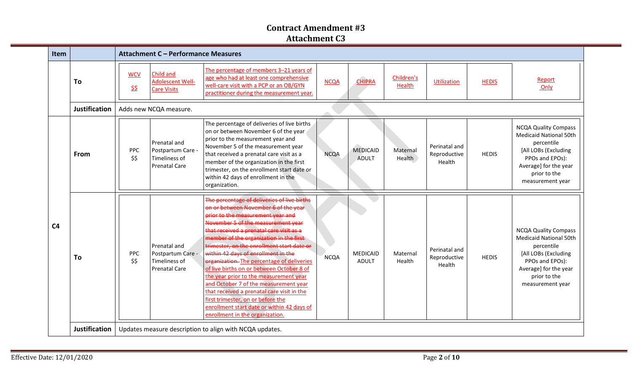| Item           |                      |                    | Attachment C - Performance Measures                                        |                                                                                                                                                                                                                                                                                                                                                                                                                                                                                                                                                                                                                                                                                              |             |                                 |                             |                                         |              |                                                                                                                                                                                    |
|----------------|----------------------|--------------------|----------------------------------------------------------------------------|----------------------------------------------------------------------------------------------------------------------------------------------------------------------------------------------------------------------------------------------------------------------------------------------------------------------------------------------------------------------------------------------------------------------------------------------------------------------------------------------------------------------------------------------------------------------------------------------------------------------------------------------------------------------------------------------|-------------|---------------------------------|-----------------------------|-----------------------------------------|--------------|------------------------------------------------------------------------------------------------------------------------------------------------------------------------------------|
|                | To                   | <b>WCV</b><br>\$\$ | Child and<br>Adolescent Well-<br><b>Care Visits</b>                        | The percentage of members 3-21 years of<br>age who had at least one comprehensive<br>well-care visit with a PCP or an OB/GYN<br>practitioner during the measurement year.                                                                                                                                                                                                                                                                                                                                                                                                                                                                                                                    | <b>NCQA</b> | <b>CHIPRA</b>                   | Children's<br><b>Health</b> | <b>Utilization</b>                      | <b>HEDIS</b> | Report<br>Only                                                                                                                                                                     |
|                | <b>Justification</b> |                    | Adds new NCQA measure.                                                     |                                                                                                                                                                                                                                                                                                                                                                                                                                                                                                                                                                                                                                                                                              |             |                                 |                             |                                         |              |                                                                                                                                                                                    |
| C <sub>4</sub> | From                 | <b>PPC</b><br>\$\$ | Prenatal and<br>Postpartum Care -<br>Timeliness of<br><b>Prenatal Care</b> | The percentage of deliveries of live births<br>on or between November 6 of the year<br>prior to the measurement year and<br>November 5 of the measurement year<br>that received a prenatal care visit as a<br>member of the organization in the first<br>trimester, on the enrollment start date or<br>within 42 days of enrollment in the<br>organization.                                                                                                                                                                                                                                                                                                                                  | <b>NCQA</b> | <b>MEDICAID</b><br><b>ADULT</b> | Maternal<br>Health          | Perinatal and<br>Reproductive<br>Health | <b>HEDIS</b> | <b>NCQA Quality Compass</b><br><b>Medicaid National 50th</b><br>percentile<br>[All LOBs (Excluding<br>PPOs and EPOs):<br>Average] for the year<br>prior to the<br>measurement year |
|                | To                   | PPC<br>\$\$        | Prenatal and<br>Postpartum Care -<br>Timeliness of<br><b>Prenatal Care</b> | The percentage of deliveries of live births<br>on or between November 6 of the year<br>prior to the measurement year and<br>November 5 of the measurement year<br>that received a prenatal care visit as a<br>member of the organization in the first<br>trimester, on the enrollment start date or<br>within 42 days of enrollment in the<br>organization. The percentage of deliveries<br>of live births on or between October 8 of<br>the year prior to the measurement year<br>and October 7 of the measurement year<br>that received a prenatal care visit in the<br>first trimester, on or before the<br>enrollment start date or within 42 days of<br>enrollment in the organization. | <b>NCQA</b> | <b>MEDICAID</b><br><b>ADULT</b> | Maternal<br>Health          | Perinatal and<br>Reproductive<br>Health | <b>HEDIS</b> | <b>NCQA Quality Compass</b><br><b>Medicaid National 50th</b><br>percentile<br>[All LOBs (Excluding<br>PPOs and EPOs):<br>Average] for the year<br>prior to the<br>measurement year |
|                | Justification        |                    |                                                                            | Updates measure description to align with NCQA updates.                                                                                                                                                                                                                                                                                                                                                                                                                                                                                                                                                                                                                                      |             |                                 |                             |                                         |              |                                                                                                                                                                                    |

Ξ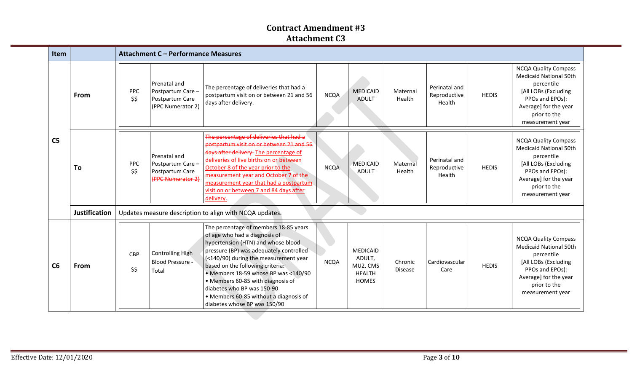| <b>Item</b>    |                      |                                                         | Attachment C - Performance Measures                                       |                                                                                                                                                                                                                                                                                                                                                                                                                           |             |                                                                        |                           |                                         |              |                                                                                                                                                                                    |  |  |
|----------------|----------------------|---------------------------------------------------------|---------------------------------------------------------------------------|---------------------------------------------------------------------------------------------------------------------------------------------------------------------------------------------------------------------------------------------------------------------------------------------------------------------------------------------------------------------------------------------------------------------------|-------------|------------------------------------------------------------------------|---------------------------|-----------------------------------------|--------------|------------------------------------------------------------------------------------------------------------------------------------------------------------------------------------|--|--|
| C <sub>5</sub> | <b>From</b>          | <b>PPC</b><br>\$\$                                      | Prenatal and<br>Postpartum Care -<br>Postpartum Care<br>(PPC Numerator 2) | The percentage of deliveries that had a<br>postpartum visit on or between 21 and 56<br>days after delivery.                                                                                                                                                                                                                                                                                                               | <b>NCQA</b> | <b>MEDICAID</b><br><b>ADULT</b>                                        | Maternal<br>Health        | Perinatal and<br>Reproductive<br>Health | <b>HEDIS</b> | <b>NCQA Quality Compass</b><br><b>Medicaid National 50th</b><br>percentile<br>[All LOBs (Excluding<br>PPOs and EPOs):<br>Average] for the year<br>prior to the<br>measurement year |  |  |
|                | To                   | PPC<br>\$\$                                             | Prenatal and<br>Postpartum Care-<br>Postpartum Care<br>(PPC Numerator 2)  | The percentage of deliveries that had a<br>postpartum visit on or between 21 and 56<br>days after delivery. The percentage of<br>deliveries of live births on or between<br>October 8 of the year prior to the<br>measurement year and October 7 of the<br>measurement year that had a postpartum<br>visit on or between 7 and 84 days after<br>delivery.                                                                 | <b>NCQA</b> | <b>MEDICAID</b><br><b>ADULT</b>                                        | Maternal<br>Health        | Perinatal and<br>Reproductive<br>Health | <b>HEDIS</b> | <b>NCQA Quality Compass</b><br><b>Medicaid National 50th</b><br>percentile<br>[All LOBs (Excluding<br>PPOs and EPOs):<br>Average] for the year<br>prior to the<br>measurement year |  |  |
|                | <b>Justification</b> | Updates measure description to align with NCQA updates. |                                                                           |                                                                                                                                                                                                                                                                                                                                                                                                                           |             |                                                                        |                           |                                         |              |                                                                                                                                                                                    |  |  |
| C6             | From                 | <b>CBP</b><br>\$\$                                      | <b>Controlling High</b><br><b>Blood Pressure -</b><br>Total               | The percentage of members 18-85 years<br>of age who had a diagnosis of<br>hypertension (HTN) and whose blood<br>pressure (BP) was adequately controlled<br>(<140/90) during the measurement year<br>based on the following criteria:<br>• Members 18-59 whose BP was <140/90<br>• Members 60-85 with diagnosis of<br>diabetes who BP was 150-90<br>• Members 60-85 without a diagnosis of<br>diabetes whose BP was 150/90 | <b>NCQA</b> | <b>MEDICAID</b><br>ADULT,<br>MU2, CMS<br><b>HEALTH</b><br><b>HOMES</b> | Chronic<br><b>Disease</b> | Cardiovascular<br>Care                  | <b>HEDIS</b> | <b>NCQA Quality Compass</b><br><b>Medicaid National 50th</b><br>percentile<br>[All LOBs (Excluding<br>PPOs and EPOs):<br>Average] for the year<br>prior to the<br>measurement year |  |  |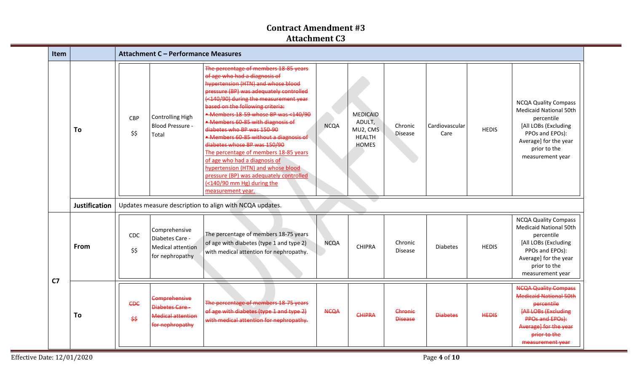| Item           |                      | Attachment C - Performance Measures                                                                   |                                                                                                                                                                                                                                                                                                                                                                                                                                                                                                                                                                                                                                         |             |                                                                 |                           |                        |              |                                                                                                                                                                                                  |
|----------------|----------------------|-------------------------------------------------------------------------------------------------------|-----------------------------------------------------------------------------------------------------------------------------------------------------------------------------------------------------------------------------------------------------------------------------------------------------------------------------------------------------------------------------------------------------------------------------------------------------------------------------------------------------------------------------------------------------------------------------------------------------------------------------------------|-------------|-----------------------------------------------------------------|---------------------------|------------------------|--------------|--------------------------------------------------------------------------------------------------------------------------------------------------------------------------------------------------|
|                | To                   | Controlling High<br><b>CBP</b><br><b>Blood Pressure -</b><br>\$\$<br>Total                            | The percentage of members 18-85 years<br>of age who had a diagnosis of<br>hypertension (HTN) and whose blood<br>pressure (BP) was adequately controlled<br>(<140/90) during the measurement year<br>based on the following criteria:<br>• Members 18-59 whose BP was <140/90<br>• Members 60-85 with diagnosis of<br>diabetes who BP was 150-90<br>• Members 60-85 without a diagnosis of<br>diabetes whose BP was 150/90<br>The percentage of members 18-85 years<br>of age who had a diagnosis of<br>hypertension (HTN) and whose blood<br>pressure (BP) was adequately controlled<br>(<140/90 mm Hg) during the<br>measurement year. | <b>NCQA</b> | <b>MEDICAID</b><br>ADULT,<br>MU2, CMS<br>HEALTH<br><b>HOMES</b> | Chronic<br><b>Disease</b> | Cardiovascular<br>Care | <b>HEDIS</b> | <b>NCQA Quality Compass</b><br><b>Medicaid National 50th</b><br>percentile<br>[All LOBs (Excluding<br>PPOs and EPOs):<br>Average] for the year<br>prior to the<br>measurement year               |
|                | <b>Justification</b> | Updates measure description to align with NCQA updates.                                               |                                                                                                                                                                                                                                                                                                                                                                                                                                                                                                                                                                                                                                         |             |                                                                 |                           |                        |              |                                                                                                                                                                                                  |
| C <sub>7</sub> | From                 | Comprehensive<br><b>CDC</b><br>Diabetes Care -<br><b>Medical attention</b><br>\$\$<br>for nephropathy | The percentage of members 18-75 years<br>of age with diabetes (type 1 and type 2)<br>with medical attention for nephropathy.                                                                                                                                                                                                                                                                                                                                                                                                                                                                                                            | <b>NCQA</b> | <b>CHIPRA</b>                                                   | Chronic<br><b>Disease</b> | <b>Diabetes</b>        | <b>HEDIS</b> | <b>NCQA Quality Compass</b><br><b>Medicaid National 50th</b><br>percentile<br>[All LOBs (Excluding<br>PPOs and EPOs):<br>Average] for the year<br>prior to the<br>measurement year               |
|                | To                   | Comprehensive<br><b>CDC</b><br>Diabetes Care<br><b>Medical attention</b><br>\$\$<br>for nephropathy   | The percentage of members 18-75 years<br>of age with diabetes (type 1 and type 2)<br>with medical attention for nephropathy.                                                                                                                                                                                                                                                                                                                                                                                                                                                                                                            | <b>NCQA</b> | <b>CHIPRA</b>                                                   | Chronic<br><b>Disease</b> | <b>Diabetes</b>        | <b>HEDIS</b> | <b>NCQA Quality Compass</b><br><b>Medicaid National 50th</b><br>percentile<br><b>[All LOBs (Excluding</b><br><b>PPOs and EPOs):</b><br>Average] for the year<br>prior to the<br>measurement year |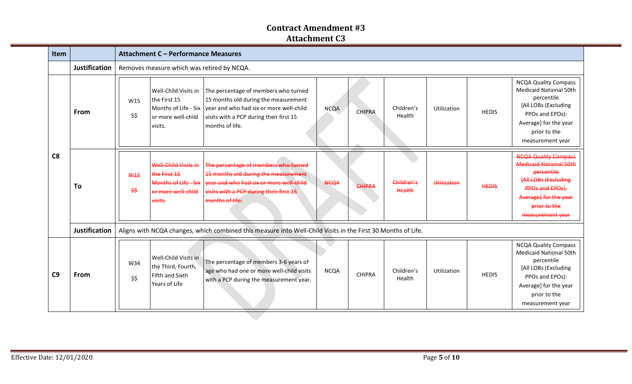| Item           |                      |                                                                                                              | Attachment C - Performance Measures                                                           |                                                                                                                                                                                                                    |             |               |                      |             |              |                                                                                                                                                                                                  |  |  |
|----------------|----------------------|--------------------------------------------------------------------------------------------------------------|-----------------------------------------------------------------------------------------------|--------------------------------------------------------------------------------------------------------------------------------------------------------------------------------------------------------------------|-------------|---------------|----------------------|-------------|--------------|--------------------------------------------------------------------------------------------------------------------------------------------------------------------------------------------------|--|--|
|                | <b>Justification</b> |                                                                                                              | Removes measure which was retired by NCQA.                                                    |                                                                                                                                                                                                                    |             |               |                      |             |              |                                                                                                                                                                                                  |  |  |
| C8             | From                 | W15<br>\$\$                                                                                                  | Well-Child Visits in<br>the First 15<br>or more well-child<br>visits.                         | The percentage of members who turned<br>15 months old during the measurement<br>Months of Life - Six $\vert$ year and who had six or more well-child<br>visits with a PCP during their first 15<br>months of life. | <b>NCQA</b> | <b>CHIPRA</b> | Children's<br>Health | Utilization | <b>HEDIS</b> | <b>NCQA Quality Compass</b><br><b>Medicaid National 50th</b><br>percentile<br>[All LOBs (Excluding<br>PPOs and EPOs):<br>Average] for the year<br>prior to the<br>measurement year               |  |  |
|                | To                   | <b>W15</b><br>$\frac{25}{2}$                                                                                 | Well-Child Visits in<br>the First 15<br>Months of Life - Six<br>or more well-child<br>visits. | The percentage of members who turned<br>15 months old during the measurement<br>vear and who had six or more well-child<br>visits with a PCP during their first 15<br>months of life.                              | <b>NCQA</b> | CHIPRA        | Children's<br>Health | Utilization | <b>HEDIS</b> | <b>NCQA Quality Compass</b><br><b>Medicaid National 50th</b><br>percentile<br><b>[All LOBs (Excluding</b><br><b>PPOs and EPOs):</b><br>Average] for the year<br>prior to the<br>measurement year |  |  |
|                | <b>Justification</b> | Aligns with NCQA changes, which combined this measure into Well-Child Visits in the First 30 Months of Life. |                                                                                               |                                                                                                                                                                                                                    |             |               |                      |             |              |                                                                                                                                                                                                  |  |  |
| C <sub>9</sub> | From                 | W34<br>\$\$                                                                                                  | Well-Child Visits in<br>the Third, Fourth,<br>Fifth and Sixth<br>Years of Life                | The percentage of members 3-6 years of<br>age who had one or more well-child visits<br>with a PCP during the measurement year.                                                                                     | <b>NCQA</b> | <b>CHIPRA</b> | Children's<br>Health | Utilization | <b>HEDIS</b> | <b>NCQA Quality Compass</b><br><b>Medicaid National 50th</b><br>percentile<br>[All LOBs (Excluding<br>PPOs and EPOs):<br>Average] for the year<br>prior to the<br>measurement year               |  |  |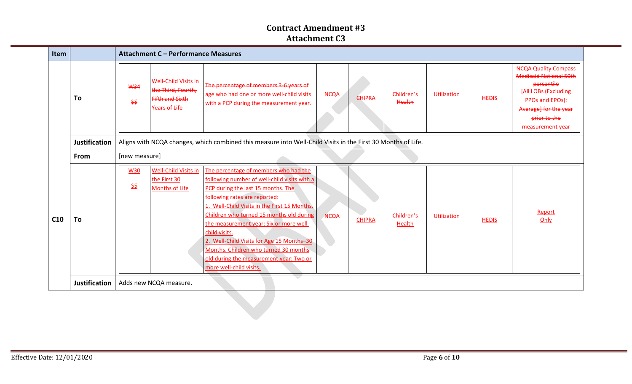| Item                  |                      | <b>Attachment C - Performance Measures</b>                                                                                                                                                                                                                                                                                                                                                                                                                                                                                                                                                                                                                                              |  |  |  |  |  |  |  |
|-----------------------|----------------------|-----------------------------------------------------------------------------------------------------------------------------------------------------------------------------------------------------------------------------------------------------------------------------------------------------------------------------------------------------------------------------------------------------------------------------------------------------------------------------------------------------------------------------------------------------------------------------------------------------------------------------------------------------------------------------------------|--|--|--|--|--|--|--|
|                       | To                   | <b>NCQA Quality Compass</b><br><b>Medicaid National 50th</b><br>Well-Child Visits in<br>percentile<br>The percentage of members 3-6 years of<br><b>W34</b><br>the Third, Fourth,<br><b>FAILLOBs (Excluding</b><br>age who had one or more well-child visits<br>Children's<br><b>NCQA</b><br>Utilization<br><b>CHIPRA</b><br><b>HEDIS</b><br><b>Fifth and Sixth</b><br>PPOs and EPOs):<br>\$\$<br>Health<br>with a PCP during the measurement year.<br>Years of Life<br>Average] for the year<br>prior to the<br>measurement year                                                                                                                                                        |  |  |  |  |  |  |  |
|                       | <b>Justification</b> | Aligns with NCQA changes, which combined this measure into Well-Child Visits in the First 30 Months of Life.                                                                                                                                                                                                                                                                                                                                                                                                                                                                                                                                                                            |  |  |  |  |  |  |  |
| From<br>[new measure] |                      |                                                                                                                                                                                                                                                                                                                                                                                                                                                                                                                                                                                                                                                                                         |  |  |  |  |  |  |  |
| C <sub>10</sub>       | To                   | Well-Child Visits in<br>The percentage of members who had the<br><b>W30</b><br>the First 30<br>following number of well-child visits with a<br><u>\$\$</u><br>Months of Life<br>PCP during the last 15 months. The<br>following rates are reported:<br>1. Well-Child Visits in the First 15 Months.<br>Report<br>Children who turned 15 months old during<br><b>NCQA</b><br>Children's<br><b>Utilization</b><br><b>CHIPRA</b><br>Only<br><b>HEDIS</b><br>the measurement year: Six or more well-<br>Health<br>child visits.<br>2. Well-Child Visits for Age 15 Months-30<br>Months. Children who turned 30 months<br>old during the measurement year: Two or<br>more well-child visits. |  |  |  |  |  |  |  |
|                       | Justification        | Adds new NCQA measure.                                                                                                                                                                                                                                                                                                                                                                                                                                                                                                                                                                                                                                                                  |  |  |  |  |  |  |  |
|                       |                      |                                                                                                                                                                                                                                                                                                                                                                                                                                                                                                                                                                                                                                                                                         |  |  |  |  |  |  |  |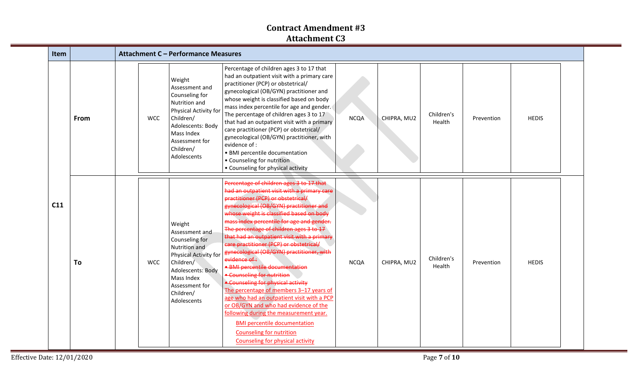| Item |      |            | <b>Attachment C - Performance Measures</b>                                                                                                                                         |                                                                                                                                                                                                                                                                                                                                                                                                                                                                                                                                                                                                                                                                                                                                                                                                                                                                                         |             |             |                      |            |              |  |
|------|------|------------|------------------------------------------------------------------------------------------------------------------------------------------------------------------------------------|-----------------------------------------------------------------------------------------------------------------------------------------------------------------------------------------------------------------------------------------------------------------------------------------------------------------------------------------------------------------------------------------------------------------------------------------------------------------------------------------------------------------------------------------------------------------------------------------------------------------------------------------------------------------------------------------------------------------------------------------------------------------------------------------------------------------------------------------------------------------------------------------|-------------|-------------|----------------------|------------|--------------|--|
|      | From | <b>WCC</b> | Weight<br>Assessment and<br>Counseling for<br>Nutrition and<br>Physical Activity for<br>Children/<br>Adolescents: Body<br>Mass Index<br>Assessment for<br>Children/<br>Adolescents | Percentage of children ages 3 to 17 that<br>had an outpatient visit with a primary care<br>practitioner (PCP) or obstetrical/<br>gynecological (OB/GYN) practitioner and<br>whose weight is classified based on body<br>mass index percentile for age and gender.<br>The percentage of children ages 3 to 17<br>that had an outpatient visit with a primary<br>care practitioner (PCP) or obstetrical/<br>gynecological (OB/GYN) practitioner, with<br>evidence of :<br>· BMI percentile documentation<br>• Counseling for nutrition<br>• Counseling for physical activity                                                                                                                                                                                                                                                                                                              | <b>NCQA</b> | CHIPRA, MU2 | Children's<br>Health | Prevention | <b>HEDIS</b> |  |
| C11  | To   | <b>WCC</b> | Weight<br>Assessment and<br>Counseling for<br>Nutrition and<br>Physical Activity for<br>Children/<br>Adolescents: Body<br>Mass Index<br>Assessment for<br>Children/<br>Adolescents | Percentage of children ages 3 to 17 that<br>had an outpatient visit with a primary care<br>practitioner (PCP) or obstetrical/<br>gynecological (OB/GYN) practitioner and<br>whose weight is classified based on body<br>mass index percentile for age and gender.<br>The percentage of children ages 3 to 17<br>that had an outpatient visit with a primary<br>care practitioner (PCP) or obstetrical/<br>gynecological (OB/GYN) practitioner, with<br>evidence of :<br><b>BMI percentile documentation</b><br><b>* Counseling for nutrition</b><br>· Counseling for physical activity<br>The percentage of members 3-17 years of<br>age who had an outpatient visit with a PCP<br>or OB/GYN and who had evidence of the<br>following during the measurement year.<br><b>BMI percentile documentation</b><br><b>Counseling for nutrition</b><br><b>Counseling for physical activity</b> | <b>NCQA</b> | CHIPRA, MU2 | Children's<br>Health | Prevention | <b>HEDIS</b> |  |

═

=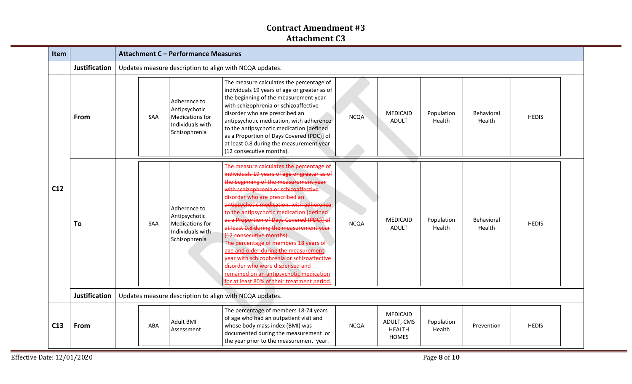| Item            |                      |            | <b>Attachment C - Performance Measures</b>                                            |                                                                                                                                                                                                                                                                                                                                                                                                                                                                                                                                                                                                                                                                                       |             |                                                         |                      |                      |              |  |  |  |
|-----------------|----------------------|------------|---------------------------------------------------------------------------------------|---------------------------------------------------------------------------------------------------------------------------------------------------------------------------------------------------------------------------------------------------------------------------------------------------------------------------------------------------------------------------------------------------------------------------------------------------------------------------------------------------------------------------------------------------------------------------------------------------------------------------------------------------------------------------------------|-------------|---------------------------------------------------------|----------------------|----------------------|--------------|--|--|--|
|                 | <b>Justification</b> |            | Updates measure description to align with NCQA updates.                               |                                                                                                                                                                                                                                                                                                                                                                                                                                                                                                                                                                                                                                                                                       |             |                                                         |                      |                      |              |  |  |  |
| C <sub>12</sub> | From                 | SAA        | Adherence to<br>Antipsychotic<br>Medications for<br>Individuals with<br>Schizophrenia | The measure calculates the percentage of<br>individuals 19 years of age or greater as of<br>the beginning of the measurement year<br>with schizophrenia or schizoaffective<br>disorder who are prescribed an<br>antipsychotic medication, with adherence<br>to the antipsychotic medication [defined<br>as a Proportion of Days Covered (PDC)] of<br>at least 0.8 during the measurement year<br>(12 consecutive months).                                                                                                                                                                                                                                                             | <b>NCQA</b> | <b>MEDICAID</b><br><b>ADULT</b>                         | Population<br>Health | Behavioral<br>Health | <b>HEDIS</b> |  |  |  |
|                 | To                   | <b>SAA</b> | Adherence to<br>Antipsychotic<br>Medications for<br>Individuals with<br>Schizophrenia | The measure calculates the percentage of<br>individuals 19 years of age or greater as of<br>the beginning of the measurement year<br>with schizophrenia or schizoaffective<br>disorder who are prescribed an<br>antipsychotic medication, with adherence<br>to the antipsychotic medication (defined<br>as a Proportion of Days Covered (PDC)] of<br>at least 0.8 during the measurement year<br>(12 consecutive months).<br>The percentage of members 18 years of<br>age and older during the measurement<br>year with schizophrenia or schizoaffective<br>disorder who were dispensed and<br>remained on an antipsychotic medication<br>for at least 80% of their treatment period. | <b>NCQA</b> | MEDICAID<br><b>ADULT</b>                                | Population<br>Health | Behavioral<br>Health | <b>HEDIS</b> |  |  |  |
|                 | <b>Justification</b> |            |                                                                                       | Updates measure description to align with NCQA updates.                                                                                                                                                                                                                                                                                                                                                                                                                                                                                                                                                                                                                               |             |                                                         |                      |                      |              |  |  |  |
| C13             | From                 | ABA        | <b>Adult BMI</b><br>Assessment                                                        | The percentage of members 18-74 years<br>of age who had an outpatient visit and<br>whose body mass index (BMI) was<br>documented during the measurement or<br>the year prior to the measurement year.                                                                                                                                                                                                                                                                                                                                                                                                                                                                                 | <b>NCQA</b> | MEDICAID<br>ADULT, CMS<br><b>HEALTH</b><br><b>HOMES</b> | Population<br>Health | Prevention           | <b>HEDIS</b> |  |  |  |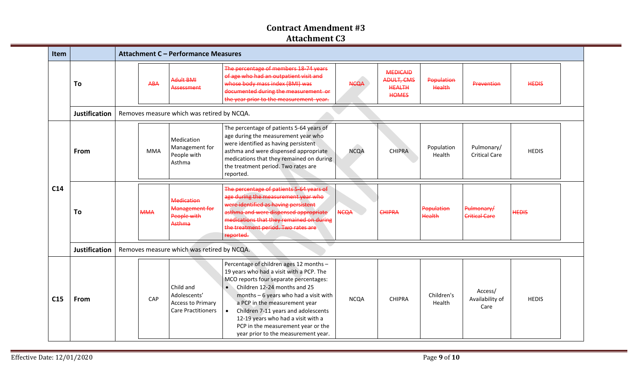| Item            |                      |                                            |            | Attachment C - Performance Measures                                                |                                                                                                                                                                                                                                                                                                                                                                                                                              |             |                                                                       |                      |                                    |              |  |  |
|-----------------|----------------------|--------------------------------------------|------------|------------------------------------------------------------------------------------|------------------------------------------------------------------------------------------------------------------------------------------------------------------------------------------------------------------------------------------------------------------------------------------------------------------------------------------------------------------------------------------------------------------------------|-------------|-----------------------------------------------------------------------|----------------------|------------------------------------|--------------|--|--|
|                 | To                   |                                            | <b>ABA</b> | <b>Adult BMI</b><br>Assessment                                                     | The percentage of members 18-74 years<br>of age who had an outpatient visit and<br>whose body mass index (BMI) was<br>documented during the measurement or<br>the year prior to the measurement year.                                                                                                                                                                                                                        | NCOA        | <b>MEDICAID</b><br><b>ADULT, CMS</b><br><b>HEALTH</b><br><b>HOMES</b> | Population<br>Health | Prevention                         | <b>HEDIS</b> |  |  |
|                 | <b>Justification</b> |                                            |            | Removes measure which was retired by NCQA.                                         |                                                                                                                                                                                                                                                                                                                                                                                                                              |             |                                                                       |                      |                                    |              |  |  |
| C14             | From                 |                                            | <b>MMA</b> | Medication<br>Management for<br>People with<br>Asthma                              | The percentage of patients 5-64 years of<br>age during the measurement year who<br>were identified as having persistent<br>asthma and were dispensed appropriate<br>medications that they remained on during<br>the treatment period. Two rates are<br>reported.                                                                                                                                                             | <b>NCQA</b> | <b>CHIPRA</b>                                                         | Population<br>Health | Pulmonary/<br><b>Critical Care</b> | <b>HEDIS</b> |  |  |
|                 | To                   |                                            | <b>MMA</b> | <b>Medication</b><br>Management for<br>People with<br>Asthma                       | The percentage of patients 5-64 years of<br>age during the measurement year who<br>were identified as having persistent<br>asthma and were dispensed appropriate<br>medications that they remained on during<br>the treatment period. Two rates are<br>reported.                                                                                                                                                             | <b>NCQA</b> | <b>CHIPRA</b>                                                         | Population<br>Health | Pulmonary/<br><b>Critical Care</b> | <b>HEDIS</b> |  |  |
|                 | <b>Justification</b> | Removes measure which was retired by NCQA. |            |                                                                                    |                                                                                                                                                                                                                                                                                                                                                                                                                              |             |                                                                       |                      |                                    |              |  |  |
| C <sub>15</sub> | From                 |                                            | CAP        | Child and<br>Adolescents'<br><b>Access to Primary</b><br><b>Care Practitioners</b> | Percentage of children ages 12 months -<br>19 years who had a visit with a PCP. The<br>MCO reports four separate percentages:<br>Children 12-24 months and 25<br>$\bullet$<br>months $-6$ years who had a visit with<br>a PCP in the measurement year<br>Children 7-11 years and adolescents<br>$\bullet$<br>12-19 years who had a visit with a<br>PCP in the measurement year or the<br>year prior to the measurement year. | <b>NCQA</b> | <b>CHIPRA</b>                                                         | Children's<br>Health | Access/<br>Availability of<br>Care | <b>HEDIS</b> |  |  |